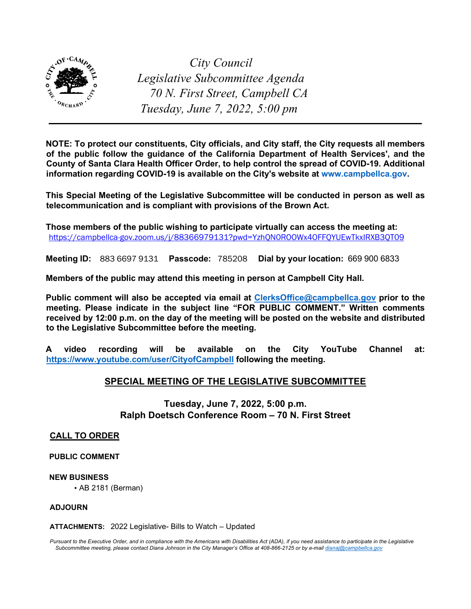

 *City Council Legislative Subcommittee Agenda 70 N. First Street, Campbell CA Tuesday, June 7, 2022, 5:00 pm* 

**NOTE: To protect our constituents, City officials, and City staff, the City requests all members of the public follow the guidance of the California Department of Health Services', and the County of Santa Clara Health Officer Order, to help control the spread of COVID-19. Additional information regarding COVID-19 is available on the City's website at [www.campbellca.gov.](http://www.campbellca.gov/)**

**This Special Meeting of the Legislative Subcommittee will be conducted in person as well as telecommunication and is compliant with provisions of the Brown Act.** 

**Those members of the public wishing to participate virtually can access the meeting at:**  <https://campbellca-gov.zoom.us/j/88366979131?pwd=YzhQN0ROOWx4OFFQYUEwTkxIRXB3QT09>

**Meeting ID:** 883 6697 9131 **Passcode:** 785208 **Dial by your location:** 669 900 6833

**Members of the public may attend this meeting in person at Campbell City Hall.** 

**Public comment will also be accepted via email at ClerksOffice@campbellca.gov prior to the meeting. Please indicate in the subject line "FOR PUBLIC COMMENT." Written comments received by 12:00 p.m. on the day of the meeting will be posted on the website and distributed to the Legislative Subcommittee before the meeting.** 

**A video recording will be available on the City YouTube Channel at: <https://www.youtube.com/user/CityofCampbell> following the meeting.** 

#### **SPECIAL MEETING OF THE LEGISLATIVE SUBCOMMITTEE**

# **Tuesday, June 7, 2022, 5:00 p.m. Ralph Doetsch Conference Room – 70 N. First Street**

#### **CALL TO ORDER**

#### **PUBLIC COMMENT**

#### **NEW BUSINESS**

• AB 2181 (Berman)

#### **ADJOURN**

**ATTACHMENTS:** 2022 Legislative- Bills to Watch – Updated

Pursuant to the Executive Order, and in compliance with the Americans with Disabilities Act (ADA), if you need assistance to participate in the Legislative *Subcommittee meeting, please contact Diana Johnson in the City Manager's Office at 408-866-2125 or by e-mail dianaj@campbellca.gov*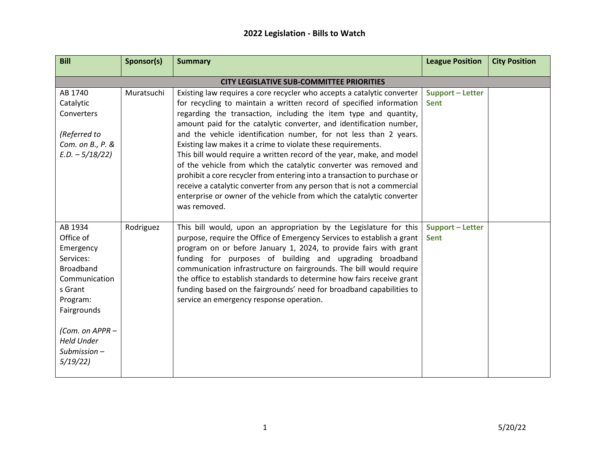| <b>Bill</b>                                                                                                    | Sponsor(s) | <b>Summary</b>                                                                                                                                                                                                                                                                                                                                                                                                                                                                                                                                                                                                                                                                                                                     | <b>League Position</b>                 | <b>City Position</b> |  |  |  |
|----------------------------------------------------------------------------------------------------------------|------------|------------------------------------------------------------------------------------------------------------------------------------------------------------------------------------------------------------------------------------------------------------------------------------------------------------------------------------------------------------------------------------------------------------------------------------------------------------------------------------------------------------------------------------------------------------------------------------------------------------------------------------------------------------------------------------------------------------------------------------|----------------------------------------|----------------------|--|--|--|
| <b>CITY LEGISLATIVE SUB-COMMITTEE PRIORITIES</b>                                                               |            |                                                                                                                                                                                                                                                                                                                                                                                                                                                                                                                                                                                                                                                                                                                                    |                                        |                      |  |  |  |
| AB 1740<br>Catalytic<br>Converters<br>(Referred to<br>Com. on B., P. &<br>$E.D. - 5/18/22$                     | Muratsuchi | Existing law requires a core recycler who accepts a catalytic converter<br>for recycling to maintain a written record of specified information<br>regarding the transaction, including the item type and quantity,<br>amount paid for the catalytic converter, and identification number,<br>and the vehicle identification number, for not less than 2 years.<br>Existing law makes it a crime to violate these requirements.<br>This bill would require a written record of the year, make, and model<br>of the vehicle from which the catalytic converter was removed and<br>prohibit a core recycler from entering into a transaction to purchase or<br>receive a catalytic converter from any person that is not a commercial | <b>Support - Letter</b><br><b>Sent</b> |                      |  |  |  |
| AB 1934                                                                                                        | Rodriguez  | enterprise or owner of the vehicle from which the catalytic converter<br>was removed.<br>This bill would, upon an appropriation by the Legislature for this                                                                                                                                                                                                                                                                                                                                                                                                                                                                                                                                                                        | <b>Support - Letter</b>                |                      |  |  |  |
| Office of<br>Emergency<br>Services:<br><b>Broadband</b><br>Communication<br>s Grant<br>Program:<br>Fairgrounds |            | purpose, require the Office of Emergency Services to establish a grant<br>program on or before January 1, 2024, to provide fairs with grant<br>funding for purposes of building and upgrading broadband<br>communication infrastructure on fairgrounds. The bill would require<br>the office to establish standards to determine how fairs receive grant<br>funding based on the fairgrounds' need for broadband capabilities to<br>service an emergency response operation.                                                                                                                                                                                                                                                       | <b>Sent</b>                            |                      |  |  |  |
| (Com. on APPR -<br><b>Held Under</b><br>Submission -<br>5/19/22                                                |            |                                                                                                                                                                                                                                                                                                                                                                                                                                                                                                                                                                                                                                                                                                                                    |                                        |                      |  |  |  |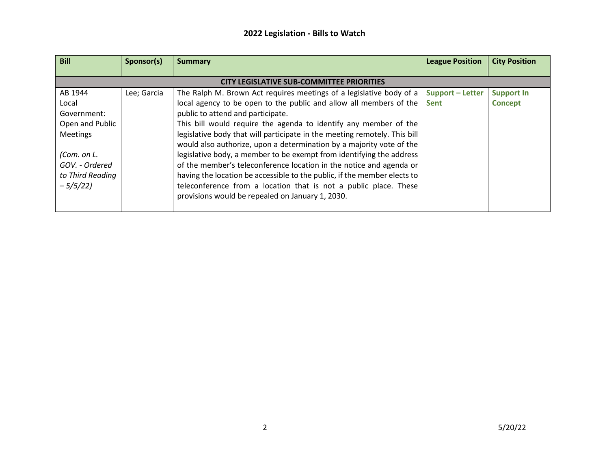| <b>Bill</b>      | Sponsor(s)  | Summary                                                                   | <b>League Position</b> | <b>City Position</b> |
|------------------|-------------|---------------------------------------------------------------------------|------------------------|----------------------|
|                  |             |                                                                           |                        |                      |
|                  |             | <b>CITY LEGISLATIVE SUB-COMMITTEE PRIORITIES</b>                          |                        |                      |
| AB 1944          | Lee; Garcia | The Ralph M. Brown Act requires meetings of a legislative body of a       | Support - Letter       | <b>Support In</b>    |
| Local            |             | local agency to be open to the public and allow all members of the        | <b>Sent</b>            | <b>Concept</b>       |
| Government:      |             | public to attend and participate.                                         |                        |                      |
| Open and Public  |             | This bill would require the agenda to identify any member of the          |                        |                      |
| <b>Meetings</b>  |             | legislative body that will participate in the meeting remotely. This bill |                        |                      |
|                  |             | would also authorize, upon a determination by a majority vote of the      |                        |                      |
| (Com. on L.      |             | legislative body, a member to be exempt from identifying the address      |                        |                      |
| GOV. - Ordered   |             | of the member's teleconference location in the notice and agenda or       |                        |                      |
| to Third Reading |             | having the location be accessible to the public, if the member elects to  |                        |                      |
| $-5/5/22$        |             | teleconference from a location that is not a public place. These          |                        |                      |
|                  |             | provisions would be repealed on January 1, 2030.                          |                        |                      |
|                  |             |                                                                           |                        |                      |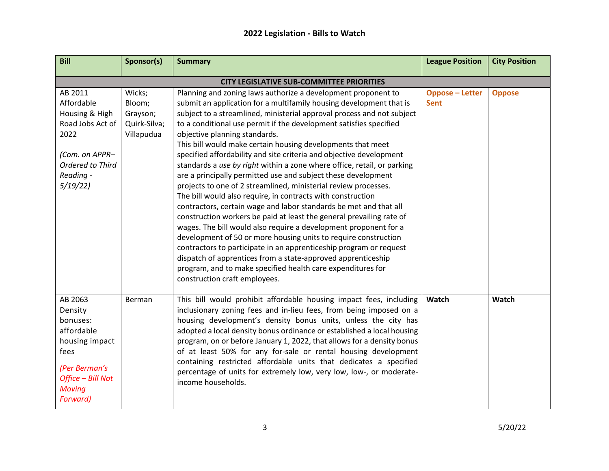| <b>Bill</b>                                                                                                                               | Sponsor(s)                                                 | <b>Summary</b>                                                                                                                                                                                                                                                                                                                                                                                                                                                                                                                                                                                                                                                                                                                                                                                                                                                                                                                                                                                                                                                                                                                                                                                                                                                      | <b>League Position</b>                | <b>City Position</b> |
|-------------------------------------------------------------------------------------------------------------------------------------------|------------------------------------------------------------|---------------------------------------------------------------------------------------------------------------------------------------------------------------------------------------------------------------------------------------------------------------------------------------------------------------------------------------------------------------------------------------------------------------------------------------------------------------------------------------------------------------------------------------------------------------------------------------------------------------------------------------------------------------------------------------------------------------------------------------------------------------------------------------------------------------------------------------------------------------------------------------------------------------------------------------------------------------------------------------------------------------------------------------------------------------------------------------------------------------------------------------------------------------------------------------------------------------------------------------------------------------------|---------------------------------------|----------------------|
|                                                                                                                                           |                                                            | <b>CITY LEGISLATIVE SUB-COMMITTEE PRIORITIES</b>                                                                                                                                                                                                                                                                                                                                                                                                                                                                                                                                                                                                                                                                                                                                                                                                                                                                                                                                                                                                                                                                                                                                                                                                                    |                                       |                      |
| AB 2011<br>Affordable<br>Housing & High<br>Road Jobs Act of<br>2022<br>(Com. on APPR-<br>Ordered to Third<br>Reading -<br>5/19/22         | Wicks;<br>Bloom;<br>Grayson;<br>Quirk-Silva;<br>Villapudua | Planning and zoning laws authorize a development proponent to<br>submit an application for a multifamily housing development that is<br>subject to a streamlined, ministerial approval process and not subject<br>to a conditional use permit if the development satisfies specified<br>objective planning standards.<br>This bill would make certain housing developments that meet<br>specified affordability and site criteria and objective development<br>standards a use by right within a zone where office, retail, or parking<br>are a principally permitted use and subject these development<br>projects to one of 2 streamlined, ministerial review processes.<br>The bill would also require, in contracts with construction<br>contractors, certain wage and labor standards be met and that all<br>construction workers be paid at least the general prevailing rate of<br>wages. The bill would also require a development proponent for a<br>development of 50 or more housing units to require construction<br>contractors to participate in an apprenticeship program or request<br>dispatch of apprentices from a state-approved apprenticeship<br>program, and to make specified health care expenditures for<br>construction craft employees. | <b>Oppose - Letter</b><br><b>Sent</b> | <b>Oppose</b>        |
| AB 2063<br>Density<br>bonuses:<br>affordable<br>housing impact<br>fees<br>(Per Berman's<br>Office - Bill Not<br><b>Moving</b><br>Forward) | Berman                                                     | This bill would prohibit affordable housing impact fees, including<br>inclusionary zoning fees and in-lieu fees, from being imposed on a<br>housing development's density bonus units, unless the city has<br>adopted a local density bonus ordinance or established a local housing<br>program, on or before January 1, 2022, that allows for a density bonus<br>of at least 50% for any for-sale or rental housing development<br>containing restricted affordable units that dedicates a specified<br>percentage of units for extremely low, very low, low-, or moderate-<br>income households.                                                                                                                                                                                                                                                                                                                                                                                                                                                                                                                                                                                                                                                                  | Watch                                 | Watch                |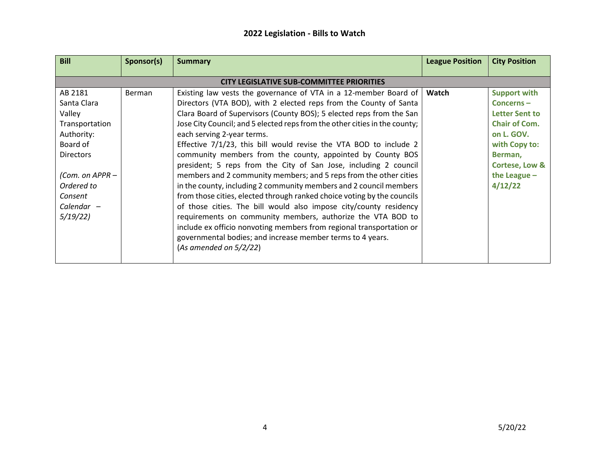| <b>Bill</b>                                                                                                                                                             | Sponsor(s)                                       | <b>Summary</b>                                                                                                                                                                                                                                                                                                                                                                                                                                                                                                                                                                                                                                                                                                                                                                                                                                                                                                                                                                                                                                                              | <b>League Position</b> | <b>City Position</b>                                                                                                                                                          |  |  |  |
|-------------------------------------------------------------------------------------------------------------------------------------------------------------------------|--------------------------------------------------|-----------------------------------------------------------------------------------------------------------------------------------------------------------------------------------------------------------------------------------------------------------------------------------------------------------------------------------------------------------------------------------------------------------------------------------------------------------------------------------------------------------------------------------------------------------------------------------------------------------------------------------------------------------------------------------------------------------------------------------------------------------------------------------------------------------------------------------------------------------------------------------------------------------------------------------------------------------------------------------------------------------------------------------------------------------------------------|------------------------|-------------------------------------------------------------------------------------------------------------------------------------------------------------------------------|--|--|--|
|                                                                                                                                                                         | <b>CITY LEGISLATIVE SUB-COMMITTEE PRIORITIES</b> |                                                                                                                                                                                                                                                                                                                                                                                                                                                                                                                                                                                                                                                                                                                                                                                                                                                                                                                                                                                                                                                                             |                        |                                                                                                                                                                               |  |  |  |
| AB 2181<br>Santa Clara<br>Valley<br>Transportation<br>Authority:<br>Board of<br><b>Directors</b><br>(Com. on APPR -<br>Ordered to<br>Consent<br>Calendar $-$<br>5/19/22 | Berman                                           | Existing law vests the governance of VTA in a 12-member Board of $\vert$ Watch<br>Directors (VTA BOD), with 2 elected reps from the County of Santa<br>Clara Board of Supervisors (County BOS); 5 elected reps from the San<br>Jose City Council; and 5 elected reps from the other cities in the county;<br>each serving 2-year terms.<br>Effective 7/1/23, this bill would revise the VTA BOD to include 2<br>community members from the county, appointed by County BOS<br>president; 5 reps from the City of San Jose, including 2 council<br>members and 2 community members; and 5 reps from the other cities<br>in the county, including 2 community members and 2 council members<br>from those cities, elected through ranked choice voting by the councils<br>of those cities. The bill would also impose city/county residency<br>requirements on community members, authorize the VTA BOD to<br>include ex officio nonvoting members from regional transportation or<br>governmental bodies; and increase member terms to 4 years.<br>(As amended on $5/2/22$ ) |                        | <b>Support with</b><br>$Concerns -$<br><b>Letter Sent to</b><br><b>Chair of Com.</b><br>on L. GOV.<br>with Copy to:<br>Berman,<br>Cortese, Low &<br>the League $-$<br>4/12/22 |  |  |  |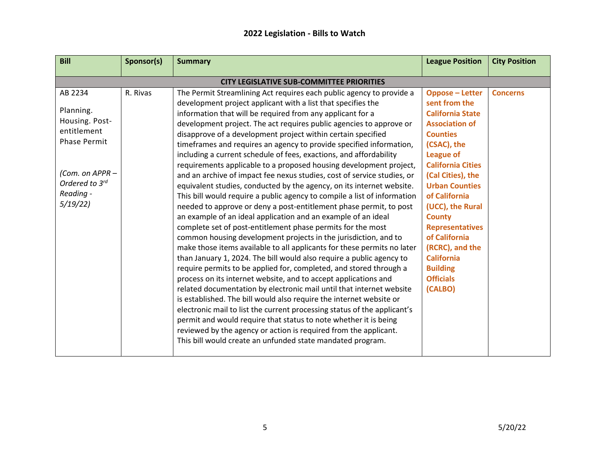| <b>Bill</b>                                                                                                                               | Sponsor(s) | <b>Summary</b>                                                                                                                                                                                                                                                                                                                                                                                                                                                                                                                                                                                                                                                                                                                                                                                                                                                                                                                                                                                                                                                                                                                                                                                                                                                                                                                                                                                                                                                                                                                                                                                                                                                                                                                                                                                     | <b>League Position</b>                                                                                                                                                                                                                                                                                                                                                                                                 | <b>City Position</b> |  |  |  |
|-------------------------------------------------------------------------------------------------------------------------------------------|------------|----------------------------------------------------------------------------------------------------------------------------------------------------------------------------------------------------------------------------------------------------------------------------------------------------------------------------------------------------------------------------------------------------------------------------------------------------------------------------------------------------------------------------------------------------------------------------------------------------------------------------------------------------------------------------------------------------------------------------------------------------------------------------------------------------------------------------------------------------------------------------------------------------------------------------------------------------------------------------------------------------------------------------------------------------------------------------------------------------------------------------------------------------------------------------------------------------------------------------------------------------------------------------------------------------------------------------------------------------------------------------------------------------------------------------------------------------------------------------------------------------------------------------------------------------------------------------------------------------------------------------------------------------------------------------------------------------------------------------------------------------------------------------------------------------|------------------------------------------------------------------------------------------------------------------------------------------------------------------------------------------------------------------------------------------------------------------------------------------------------------------------------------------------------------------------------------------------------------------------|----------------------|--|--|--|
| <b>CITY LEGISLATIVE SUB-COMMITTEE PRIORITIES</b>                                                                                          |            |                                                                                                                                                                                                                                                                                                                                                                                                                                                                                                                                                                                                                                                                                                                                                                                                                                                                                                                                                                                                                                                                                                                                                                                                                                                                                                                                                                                                                                                                                                                                                                                                                                                                                                                                                                                                    |                                                                                                                                                                                                                                                                                                                                                                                                                        |                      |  |  |  |
| AB 2234<br>Planning.<br>Housing. Post-<br>entitlement<br><b>Phase Permit</b><br>(Com. on APPR -<br>Ordered to 3rd<br>Reading -<br>5/19/22 | R. Rivas   | The Permit Streamlining Act requires each public agency to provide a<br>development project applicant with a list that specifies the<br>information that will be required from any applicant for a<br>development project. The act requires public agencies to approve or<br>disapprove of a development project within certain specified<br>timeframes and requires an agency to provide specified information,<br>including a current schedule of fees, exactions, and affordability<br>requirements applicable to a proposed housing development project,<br>and an archive of impact fee nexus studies, cost of service studies, or<br>equivalent studies, conducted by the agency, on its internet website.<br>This bill would require a public agency to compile a list of information<br>needed to approve or deny a post-entitlement phase permit, to post<br>an example of an ideal application and an example of an ideal<br>complete set of post-entitlement phase permits for the most<br>common housing development projects in the jurisdiction, and to<br>make those items available to all applicants for these permits no later<br>than January 1, 2024. The bill would also require a public agency to<br>require permits to be applied for, completed, and stored through a<br>process on its internet website, and to accept applications and<br>related documentation by electronic mail until that internet website<br>is established. The bill would also require the internet website or<br>electronic mail to list the current processing status of the applicant's<br>permit and would require that status to note whether it is being<br>reviewed by the agency or action is required from the applicant.<br>This bill would create an unfunded state mandated program. | <b>Oppose - Letter</b><br>sent from the<br><b>California State</b><br><b>Association of</b><br><b>Counties</b><br>(CSAC), the<br><b>League of</b><br><b>California Cities</b><br>(Cal Cities), the<br><b>Urban Counties</b><br>of California<br>(UCC), the Rural<br><b>County</b><br><b>Representatives</b><br>of California<br>(RCRC), and the<br><b>California</b><br><b>Building</b><br><b>Officials</b><br>(CALBO) | <b>Concerns</b>      |  |  |  |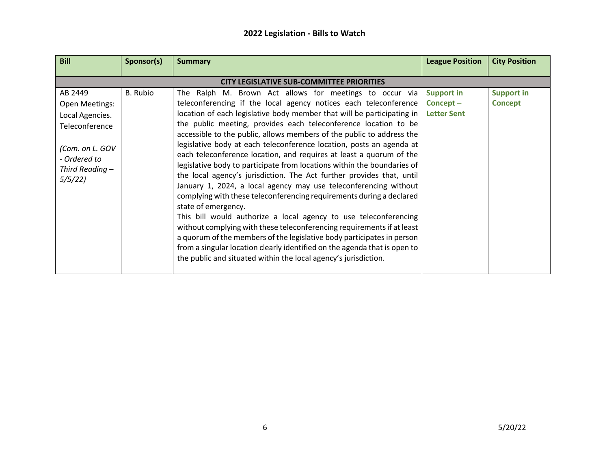| <b>Bill</b>                                                                                                                      | Sponsor(s) | <b>Summary</b>                                                                                                                                                                                                                                                                                                                                                                                                                                                                                                                                                                                                                                                                                                           | <b>League Position</b>                              | <b>City Position</b>                |
|----------------------------------------------------------------------------------------------------------------------------------|------------|--------------------------------------------------------------------------------------------------------------------------------------------------------------------------------------------------------------------------------------------------------------------------------------------------------------------------------------------------------------------------------------------------------------------------------------------------------------------------------------------------------------------------------------------------------------------------------------------------------------------------------------------------------------------------------------------------------------------------|-----------------------------------------------------|-------------------------------------|
|                                                                                                                                  |            | <b>CITY LEGISLATIVE SUB-COMMITTEE PRIORITIES</b>                                                                                                                                                                                                                                                                                                                                                                                                                                                                                                                                                                                                                                                                         |                                                     |                                     |
| AB 2449<br>Open Meetings:<br>Local Agencies.<br>Teleconference<br>(Com. on L. GOV<br>- Ordered to<br>Third Reading $-$<br>5/5/22 | B. Rubio   | The Ralph M. Brown Act allows for meetings to occur via<br>teleconferencing if the local agency notices each teleconference<br>location of each legislative body member that will be participating in<br>the public meeting, provides each teleconference location to be<br>accessible to the public, allows members of the public to address the<br>legislative body at each teleconference location, posts an agenda at<br>each teleconference location, and requires at least a quorum of the<br>legislative body to participate from locations within the boundaries of<br>the local agency's jurisdiction. The Act further provides that, until<br>January 1, 2024, a local agency may use teleconferencing without | <b>Support in</b><br>Concept-<br><b>Letter Sent</b> | <b>Support in</b><br><b>Concept</b> |
|                                                                                                                                  |            | complying with these teleconferencing requirements during a declared<br>state of emergency.<br>This bill would authorize a local agency to use teleconferencing<br>without complying with these teleconferencing requirements if at least<br>a quorum of the members of the legislative body participates in person<br>from a singular location clearly identified on the agenda that is open to<br>the public and situated within the local agency's jurisdiction.                                                                                                                                                                                                                                                      |                                                     |                                     |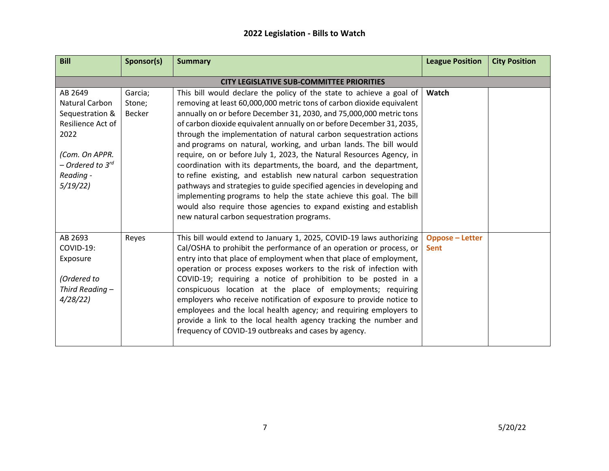| <b>Bill</b>                                      | Sponsor(s)    | <b>Summary</b>                                                        | <b>League Position</b> | <b>City Position</b> |  |  |  |
|--------------------------------------------------|---------------|-----------------------------------------------------------------------|------------------------|----------------------|--|--|--|
| <b>CITY LEGISLATIVE SUB-COMMITTEE PRIORITIES</b> |               |                                                                       |                        |                      |  |  |  |
| AB 2649                                          | Garcia;       | This bill would declare the policy of the state to achieve a goal of  | Watch                  |                      |  |  |  |
| Natural Carbon                                   | Stone;        | removing at least 60,000,000 metric tons of carbon dioxide equivalent |                        |                      |  |  |  |
| Sequestration &                                  | <b>Becker</b> | annually on or before December 31, 2030, and 75,000,000 metric tons   |                        |                      |  |  |  |
| Resilience Act of                                |               | of carbon dioxide equivalent annually on or before December 31, 2035, |                        |                      |  |  |  |
| 2022                                             |               | through the implementation of natural carbon sequestration actions    |                        |                      |  |  |  |
|                                                  |               | and programs on natural, working, and urban lands. The bill would     |                        |                      |  |  |  |
| (Com. On APPR.                                   |               | require, on or before July 1, 2023, the Natural Resources Agency, in  |                        |                      |  |  |  |
| $-$ Ordered to $3^{rd}$                          |               | coordination with its departments, the board, and the department,     |                        |                      |  |  |  |
| Reading -                                        |               | to refine existing, and establish new natural carbon sequestration    |                        |                      |  |  |  |
| 5/19/22                                          |               | pathways and strategies to guide specified agencies in developing and |                        |                      |  |  |  |
|                                                  |               | implementing programs to help the state achieve this goal. The bill   |                        |                      |  |  |  |
|                                                  |               | would also require those agencies to expand existing and establish    |                        |                      |  |  |  |
|                                                  |               | new natural carbon sequestration programs.                            |                        |                      |  |  |  |
| AB 2693                                          | Reyes         | This bill would extend to January 1, 2025, COVID-19 laws authorizing  | <b>Oppose - Letter</b> |                      |  |  |  |
| $COVID-19:$                                      |               | Cal/OSHA to prohibit the performance of an operation or process, or   | <b>Sent</b>            |                      |  |  |  |
| Exposure                                         |               | entry into that place of employment when that place of employment,    |                        |                      |  |  |  |
|                                                  |               | operation or process exposes workers to the risk of infection with    |                        |                      |  |  |  |
| (Ordered to                                      |               | COVID-19; requiring a notice of prohibition to be posted in a         |                        |                      |  |  |  |
| Third Reading -                                  |               | conspicuous location at the place of employments; requiring           |                        |                      |  |  |  |
| 4/28/22                                          |               | employers who receive notification of exposure to provide notice to   |                        |                      |  |  |  |
|                                                  |               | employees and the local health agency; and requiring employers to     |                        |                      |  |  |  |
|                                                  |               | provide a link to the local health agency tracking the number and     |                        |                      |  |  |  |
|                                                  |               | frequency of COVID-19 outbreaks and cases by agency.                  |                        |                      |  |  |  |
|                                                  |               |                                                                       |                        |                      |  |  |  |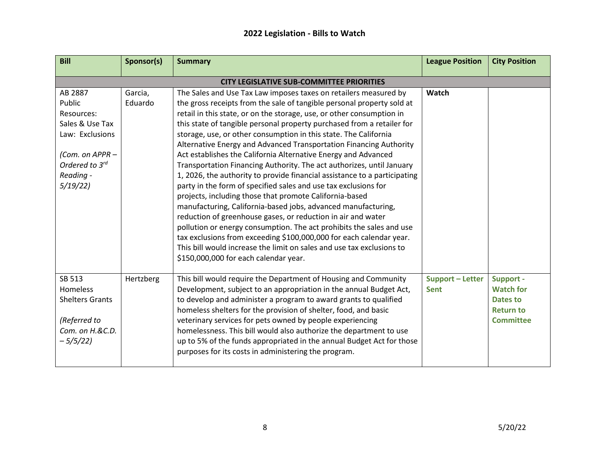| <b>Bill</b>                                                                                                                        | Sponsor(s)         | <b>Summary</b>                                                                                                                                                                                                                                                                                                                                                                                                                                                                                                                                                                                                                                                                                                                                                                                                                                                                                                                                                                                                                                                                                                                                                                                  | <b>League Position</b>          | <b>City Position</b>                                                              |  |  |  |
|------------------------------------------------------------------------------------------------------------------------------------|--------------------|-------------------------------------------------------------------------------------------------------------------------------------------------------------------------------------------------------------------------------------------------------------------------------------------------------------------------------------------------------------------------------------------------------------------------------------------------------------------------------------------------------------------------------------------------------------------------------------------------------------------------------------------------------------------------------------------------------------------------------------------------------------------------------------------------------------------------------------------------------------------------------------------------------------------------------------------------------------------------------------------------------------------------------------------------------------------------------------------------------------------------------------------------------------------------------------------------|---------------------------------|-----------------------------------------------------------------------------------|--|--|--|
| <b>CITY LEGISLATIVE SUB-COMMITTEE PRIORITIES</b>                                                                                   |                    |                                                                                                                                                                                                                                                                                                                                                                                                                                                                                                                                                                                                                                                                                                                                                                                                                                                                                                                                                                                                                                                                                                                                                                                                 |                                 |                                                                                   |  |  |  |
| AB 2887<br>Public<br>Resources:<br>Sales & Use Tax<br>Law: Exclusions<br>(Com. on APPR -<br>Ordered to 3rd<br>Reading -<br>5/19/22 | Garcia,<br>Eduardo | The Sales and Use Tax Law imposes taxes on retailers measured by<br>the gross receipts from the sale of tangible personal property sold at<br>retail in this state, or on the storage, use, or other consumption in<br>this state of tangible personal property purchased from a retailer for<br>storage, use, or other consumption in this state. The California<br>Alternative Energy and Advanced Transportation Financing Authority<br>Act establishes the California Alternative Energy and Advanced<br>Transportation Financing Authority. The act authorizes, until January<br>1, 2026, the authority to provide financial assistance to a participating<br>party in the form of specified sales and use tax exclusions for<br>projects, including those that promote California-based<br>manufacturing, California-based jobs, advanced manufacturing,<br>reduction of greenhouse gases, or reduction in air and water<br>pollution or energy consumption. The act prohibits the sales and use<br>tax exclusions from exceeding \$100,000,000 for each calendar year.<br>This bill would increase the limit on sales and use tax exclusions to<br>\$150,000,000 for each calendar year. | Watch                           |                                                                                   |  |  |  |
| SB 513<br>Homeless<br><b>Shelters Grants</b><br>(Referred to<br>Com. on H.&C.D.<br>$-5/5/22$                                       | Hertzberg          | This bill would require the Department of Housing and Community<br>Development, subject to an appropriation in the annual Budget Act,<br>to develop and administer a program to award grants to qualified<br>homeless shelters for the provision of shelter, food, and basic<br>veterinary services for pets owned by people experiencing<br>homelessness. This bill would also authorize the department to use<br>up to 5% of the funds appropriated in the annual Budget Act for those<br>purposes for its costs in administering the program.                                                                                                                                                                                                                                                                                                                                                                                                                                                                                                                                                                                                                                                | Support - Letter<br><b>Sent</b> | Support -<br><b>Watch for</b><br>Dates to<br><b>Return to</b><br><b>Committee</b> |  |  |  |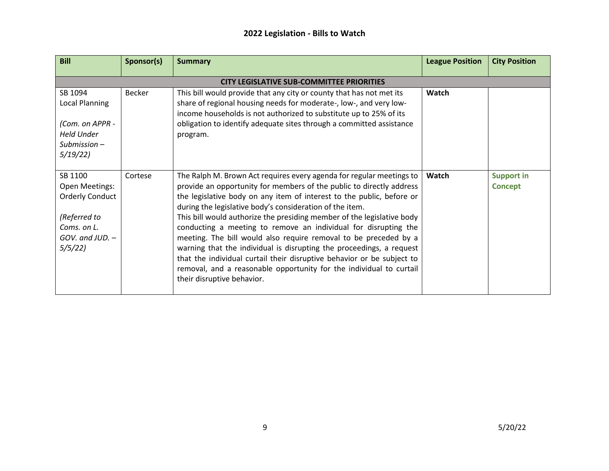| <b>Bill</b>                                                                         | Sponsor(s)                                       | <b>Summary</b>                                                                                                                                                                                                                                                                                                                                                                                                                                                       | <b>League Position</b> | <b>City Position</b>                |  |  |
|-------------------------------------------------------------------------------------|--------------------------------------------------|----------------------------------------------------------------------------------------------------------------------------------------------------------------------------------------------------------------------------------------------------------------------------------------------------------------------------------------------------------------------------------------------------------------------------------------------------------------------|------------------------|-------------------------------------|--|--|
|                                                                                     | <b>CITY LEGISLATIVE SUB-COMMITTEE PRIORITIES</b> |                                                                                                                                                                                                                                                                                                                                                                                                                                                                      |                        |                                     |  |  |
| SB 1094<br>Local Planning<br>(Com. on APPR -<br><b>Held Under</b><br>$Submission -$ | <b>Becker</b>                                    | This bill would provide that any city or county that has not met its<br>share of regional housing needs for moderate-, low-, and very low-<br>income households is not authorized to substitute up to 25% of its<br>obligation to identify adequate sites through a committed assistance<br>program.                                                                                                                                                                 | Watch                  |                                     |  |  |
| 5/19/22                                                                             |                                                  |                                                                                                                                                                                                                                                                                                                                                                                                                                                                      |                        |                                     |  |  |
| SB 1100<br>Open Meetings:<br><b>Orderly Conduct</b>                                 | Cortese                                          | The Ralph M. Brown Act requires every agenda for regular meetings to<br>provide an opportunity for members of the public to directly address<br>the legislative body on any item of interest to the public, before or<br>during the legislative body's consideration of the item.                                                                                                                                                                                    | Watch                  | <b>Support in</b><br><b>Concept</b> |  |  |
| (Referred to<br>Coms. on L.<br>$GOV.$ and $JUD.$ -<br>5/5/22                        |                                                  | This bill would authorize the presiding member of the legislative body<br>conducting a meeting to remove an individual for disrupting the<br>meeting. The bill would also require removal to be preceded by a<br>warning that the individual is disrupting the proceedings, a request<br>that the individual curtail their disruptive behavior or be subject to<br>removal, and a reasonable opportunity for the individual to curtail<br>their disruptive behavior. |                        |                                     |  |  |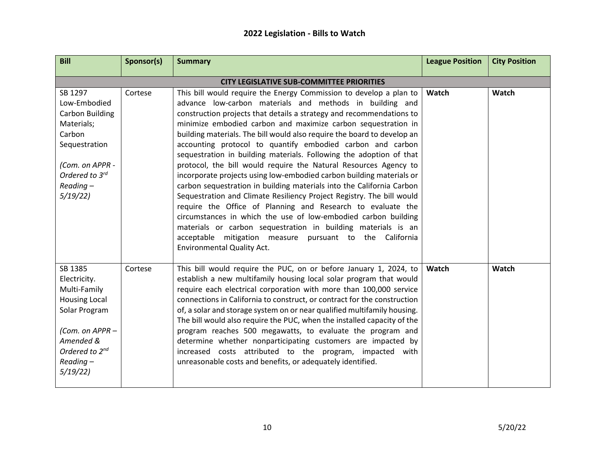| <b>Bill</b>                                                                                                                                                              | Sponsor(s)                                       | <b>Summary</b>                                                                                                                                                                                                                                                                                                                                                                                                                                                                                                                                                                                                                                                                                                                                                                                                                                                                                                                                                                                                                                                                           | <b>League Position</b> | <b>City Position</b> |  |  |  |  |
|--------------------------------------------------------------------------------------------------------------------------------------------------------------------------|--------------------------------------------------|------------------------------------------------------------------------------------------------------------------------------------------------------------------------------------------------------------------------------------------------------------------------------------------------------------------------------------------------------------------------------------------------------------------------------------------------------------------------------------------------------------------------------------------------------------------------------------------------------------------------------------------------------------------------------------------------------------------------------------------------------------------------------------------------------------------------------------------------------------------------------------------------------------------------------------------------------------------------------------------------------------------------------------------------------------------------------------------|------------------------|----------------------|--|--|--|--|
|                                                                                                                                                                          | <b>CITY LEGISLATIVE SUB-COMMITTEE PRIORITIES</b> |                                                                                                                                                                                                                                                                                                                                                                                                                                                                                                                                                                                                                                                                                                                                                                                                                                                                                                                                                                                                                                                                                          |                        |                      |  |  |  |  |
| SB 1297<br>Low-Embodied<br><b>Carbon Building</b><br>Materials;<br>Carbon<br>Sequestration<br>(Com. on APPR -<br>Ordered to 3rd<br>$Reading -$<br>5/19/22                | Cortese                                          | This bill would require the Energy Commission to develop a plan to<br>advance low-carbon materials and methods in building and<br>construction projects that details a strategy and recommendations to<br>minimize embodied carbon and maximize carbon sequestration in<br>building materials. The bill would also require the board to develop an<br>accounting protocol to quantify embodied carbon and carbon<br>sequestration in building materials. Following the adoption of that<br>protocol, the bill would require the Natural Resources Agency to<br>incorporate projects using low-embodied carbon building materials or<br>carbon sequestration in building materials into the California Carbon<br>Sequestration and Climate Resiliency Project Registry. The bill would<br>require the Office of Planning and Research to evaluate the<br>circumstances in which the use of low-embodied carbon building<br>materials or carbon sequestration in building materials is an<br>acceptable mitigation measure pursuant to the California<br><b>Environmental Quality Act.</b> | Watch                  | Watch                |  |  |  |  |
| SB 1385<br>Electricity.<br>Multi-Family<br><b>Housing Local</b><br>Solar Program<br>(Com. on APPR -<br>Amended &<br>Ordered to 2 <sup>nd</sup><br>$Reading -$<br>5/19/22 | Cortese                                          | This bill would require the PUC, on or before January 1, 2024, to<br>establish a new multifamily housing local solar program that would<br>require each electrical corporation with more than 100,000 service<br>connections in California to construct, or contract for the construction<br>of, a solar and storage system on or near qualified multifamily housing.<br>The bill would also require the PUC, when the installed capacity of the<br>program reaches 500 megawatts, to evaluate the program and<br>determine whether nonparticipating customers are impacted by<br>increased costs attributed to the program, impacted with<br>unreasonable costs and benefits, or adequately identified.                                                                                                                                                                                                                                                                                                                                                                                 | Watch                  | Watch                |  |  |  |  |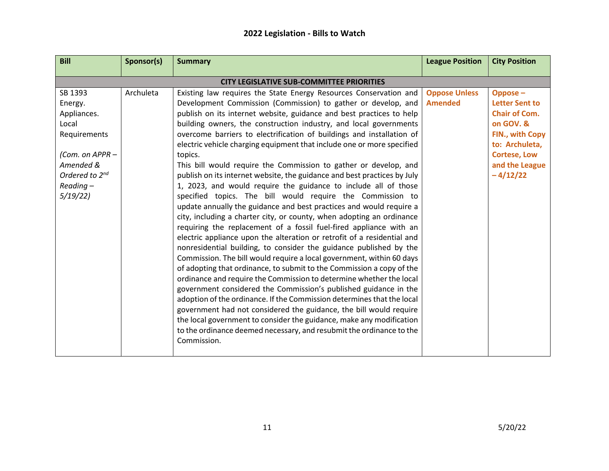| <b>Bill</b>                                                                                                                                        | Sponsor(s) | <b>Summary</b>                                                                                                                                                                                                                                                                                                                                                                                                                                                                                                                                                                                                                                                                                                                                                                                                                                                                                                                                                                                                                                                                                                                                                                                                                                                                                                                                                                                                                                                                                                                                                                                                             | <b>League Position</b>                 | <b>City Position</b>                                                                                                                                              |  |  |  |
|----------------------------------------------------------------------------------------------------------------------------------------------------|------------|----------------------------------------------------------------------------------------------------------------------------------------------------------------------------------------------------------------------------------------------------------------------------------------------------------------------------------------------------------------------------------------------------------------------------------------------------------------------------------------------------------------------------------------------------------------------------------------------------------------------------------------------------------------------------------------------------------------------------------------------------------------------------------------------------------------------------------------------------------------------------------------------------------------------------------------------------------------------------------------------------------------------------------------------------------------------------------------------------------------------------------------------------------------------------------------------------------------------------------------------------------------------------------------------------------------------------------------------------------------------------------------------------------------------------------------------------------------------------------------------------------------------------------------------------------------------------------------------------------------------------|----------------------------------------|-------------------------------------------------------------------------------------------------------------------------------------------------------------------|--|--|--|
| <b>CITY LEGISLATIVE SUB-COMMITTEE PRIORITIES</b>                                                                                                   |            |                                                                                                                                                                                                                                                                                                                                                                                                                                                                                                                                                                                                                                                                                                                                                                                                                                                                                                                                                                                                                                                                                                                                                                                                                                                                                                                                                                                                                                                                                                                                                                                                                            |                                        |                                                                                                                                                                   |  |  |  |
| SB 1393<br>Energy.<br>Appliances.<br>Local<br>Requirements<br>(Com. on APPR -<br>Amended &<br>Ordered to 2 <sup>nd</sup><br>$Reading -$<br>5/19/22 | Archuleta  | Existing law requires the State Energy Resources Conservation and<br>Development Commission (Commission) to gather or develop, and<br>publish on its internet website, guidance and best practices to help<br>building owners, the construction industry, and local governments<br>overcome barriers to electrification of buildings and installation of<br>electric vehicle charging equipment that include one or more specified<br>topics.<br>This bill would require the Commission to gather or develop, and<br>publish on its internet website, the guidance and best practices by July<br>1, 2023, and would require the guidance to include all of those<br>specified topics. The bill would require the Commission to<br>update annually the guidance and best practices and would require a<br>city, including a charter city, or county, when adopting an ordinance<br>requiring the replacement of a fossil fuel-fired appliance with an<br>electric appliance upon the alteration or retrofit of a residential and<br>nonresidential building, to consider the guidance published by the<br>Commission. The bill would require a local government, within 60 days<br>of adopting that ordinance, to submit to the Commission a copy of the<br>ordinance and require the Commission to determine whether the local<br>government considered the Commission's published guidance in the<br>adoption of the ordinance. If the Commission determines that the local<br>government had not considered the guidance, the bill would require<br>the local government to consider the guidance, make any modification | <b>Oppose Unless</b><br><b>Amended</b> | Oppose-<br><b>Letter Sent to</b><br><b>Chair of Com.</b><br>on GOV. &<br>FIN., with Copy<br>to: Archuleta,<br><b>Cortese, Low</b><br>and the League<br>$-4/12/22$ |  |  |  |
|                                                                                                                                                    |            | to the ordinance deemed necessary, and resubmit the ordinance to the<br>Commission.                                                                                                                                                                                                                                                                                                                                                                                                                                                                                                                                                                                                                                                                                                                                                                                                                                                                                                                                                                                                                                                                                                                                                                                                                                                                                                                                                                                                                                                                                                                                        |                                        |                                                                                                                                                                   |  |  |  |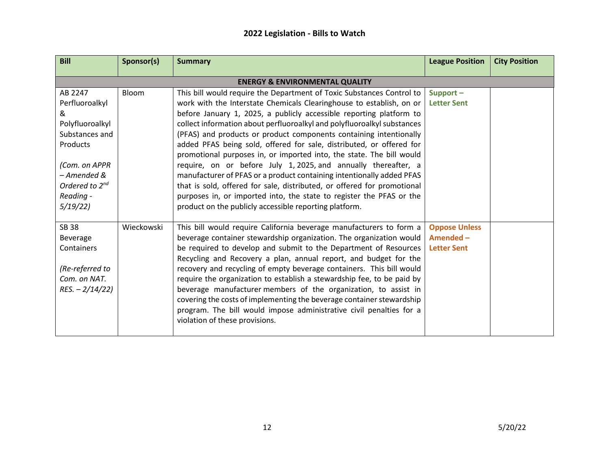| <b>Bill</b>                                                                                                                                                           | Sponsor(s)                                | <b>Summary</b>                                                                                                                                                                                                                                                                                                                                                                                                                                                                                                                                                                                                                                                                                                                                                                                                                                                                | <b>League Position</b>                                 | <b>City Position</b> |  |  |  |  |
|-----------------------------------------------------------------------------------------------------------------------------------------------------------------------|-------------------------------------------|-------------------------------------------------------------------------------------------------------------------------------------------------------------------------------------------------------------------------------------------------------------------------------------------------------------------------------------------------------------------------------------------------------------------------------------------------------------------------------------------------------------------------------------------------------------------------------------------------------------------------------------------------------------------------------------------------------------------------------------------------------------------------------------------------------------------------------------------------------------------------------|--------------------------------------------------------|----------------------|--|--|--|--|
|                                                                                                                                                                       | <b>ENERGY &amp; ENVIRONMENTAL QUALITY</b> |                                                                                                                                                                                                                                                                                                                                                                                                                                                                                                                                                                                                                                                                                                                                                                                                                                                                               |                                                        |                      |  |  |  |  |
| AB 2247<br>Perfluoroalkyl<br>&<br>Polyfluoroalkyl<br>Substances and<br>Products<br>(Com. on APPR<br>- Amended &<br>Ordered to 2 <sup>nd</sup><br>Reading -<br>5/19/22 | Bloom                                     | This bill would require the Department of Toxic Substances Control to<br>work with the Interstate Chemicals Clearinghouse to establish, on or<br>before January 1, 2025, a publicly accessible reporting platform to<br>collect information about perfluoroalkyl and polyfluoroalkyl substances<br>(PFAS) and products or product components containing intentionally<br>added PFAS being sold, offered for sale, distributed, or offered for<br>promotional purposes in, or imported into, the state. The bill would<br>require, on or before July 1, 2025, and annually thereafter, a<br>manufacturer of PFAS or a product containing intentionally added PFAS<br>that is sold, offered for sale, distributed, or offered for promotional<br>purposes in, or imported into, the state to register the PFAS or the<br>product on the publicly accessible reporting platform. | Support-<br><b>Letter Sent</b>                         |                      |  |  |  |  |
| <b>SB 38</b><br>Beverage<br>Containers<br>(Re-referred to<br>Com. on NAT.<br>$RES. - 2/14/22)$                                                                        | Wieckowski                                | This bill would require California beverage manufacturers to form a<br>beverage container stewardship organization. The organization would<br>be required to develop and submit to the Department of Resources<br>Recycling and Recovery a plan, annual report, and budget for the<br>recovery and recycling of empty beverage containers. This bill would<br>require the organization to establish a stewardship fee, to be paid by<br>beverage manufacturer members of the organization, to assist in<br>covering the costs of implementing the beverage container stewardship<br>program. The bill would impose administrative civil penalties for a<br>violation of these provisions.                                                                                                                                                                                     | <b>Oppose Unless</b><br>Amended-<br><b>Letter Sent</b> |                      |  |  |  |  |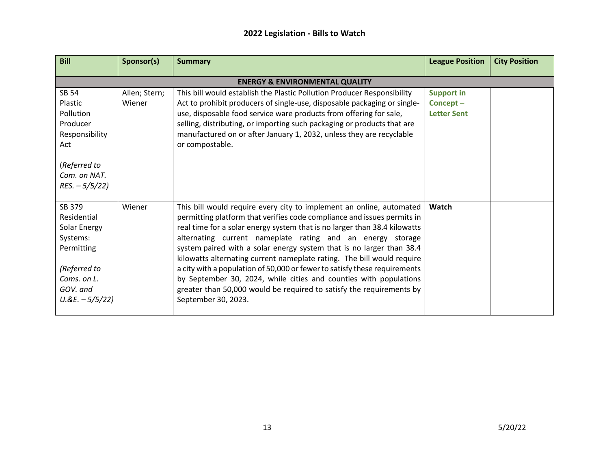| <b>Bill</b>                                                                                                                    | Sponsor(s)              | <b>Summary</b>                                                                                                                                                                                                                                                                                                                                                                                                                                                                                                                                                                                                                                                                                | <b>League Position</b>                              | <b>City Position</b> |
|--------------------------------------------------------------------------------------------------------------------------------|-------------------------|-----------------------------------------------------------------------------------------------------------------------------------------------------------------------------------------------------------------------------------------------------------------------------------------------------------------------------------------------------------------------------------------------------------------------------------------------------------------------------------------------------------------------------------------------------------------------------------------------------------------------------------------------------------------------------------------------|-----------------------------------------------------|----------------------|
|                                                                                                                                |                         | <b>ENERGY &amp; ENVIRONMENTAL QUALITY</b>                                                                                                                                                                                                                                                                                                                                                                                                                                                                                                                                                                                                                                                     |                                                     |                      |
| <b>SB 54</b><br>Plastic<br>Pollution<br>Producer<br>Responsibility<br>Act<br>(Referred to                                      | Allen; Stern;<br>Wiener | This bill would establish the Plastic Pollution Producer Responsibility<br>Act to prohibit producers of single-use, disposable packaging or single-<br>use, disposable food service ware products from offering for sale,<br>selling, distributing, or importing such packaging or products that are<br>manufactured on or after January 1, 2032, unless they are recyclable<br>or compostable.                                                                                                                                                                                                                                                                                               | <b>Support in</b><br>Concept-<br><b>Letter Sent</b> |                      |
| Com. on NAT.<br>$RES. - 5/5/22)$                                                                                               |                         |                                                                                                                                                                                                                                                                                                                                                                                                                                                                                                                                                                                                                                                                                               |                                                     |                      |
| SB 379<br>Residential<br>Solar Energy<br>Systems:<br>Permitting<br>(Referred to<br>Coms. on L.<br>GOV. and<br>$U.8E. - 5/5/22$ | Wiener                  | This bill would require every city to implement an online, automated<br>permitting platform that verifies code compliance and issues permits in<br>real time for a solar energy system that is no larger than 38.4 kilowatts<br>alternating current nameplate rating and an energy storage<br>system paired with a solar energy system that is no larger than 38.4<br>kilowatts alternating current nameplate rating. The bill would require<br>a city with a population of 50,000 or fewer to satisfy these requirements<br>by September 30, 2024, while cities and counties with populations<br>greater than 50,000 would be required to satisfy the requirements by<br>September 30, 2023. | Watch                                               |                      |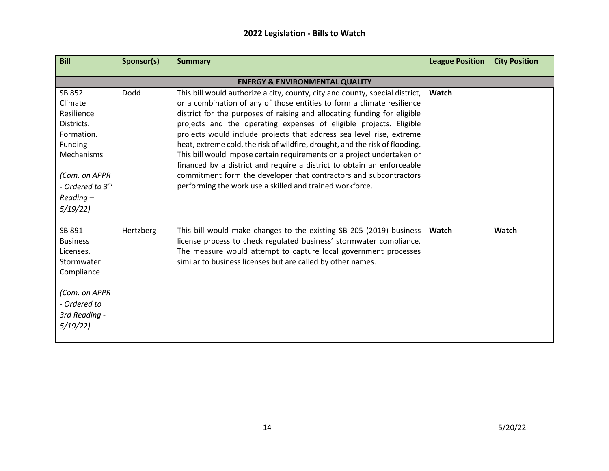| <b>Bill</b>                       | Sponsor(s)                                | <b>Summary</b>                                                                                                                | <b>League Position</b> | <b>City Position</b> |  |  |  |  |
|-----------------------------------|-------------------------------------------|-------------------------------------------------------------------------------------------------------------------------------|------------------------|----------------------|--|--|--|--|
|                                   | <b>ENERGY &amp; ENVIRONMENTAL QUALITY</b> |                                                                                                                               |                        |                      |  |  |  |  |
| SB 852                            | Dodd                                      | This bill would authorize a city, county, city and county, special district,                                                  | Watch                  |                      |  |  |  |  |
| Climate                           |                                           | or a combination of any of those entities to form a climate resilience                                                        |                        |                      |  |  |  |  |
| Resilience                        |                                           | district for the purposes of raising and allocating funding for eligible                                                      |                        |                      |  |  |  |  |
| Districts.                        |                                           | projects and the operating expenses of eligible projects. Eligible                                                            |                        |                      |  |  |  |  |
| Formation.                        |                                           | projects would include projects that address sea level rise, extreme                                                          |                        |                      |  |  |  |  |
| Funding                           |                                           | heat, extreme cold, the risk of wildfire, drought, and the risk of flooding.                                                  |                        |                      |  |  |  |  |
| Mechanisms                        |                                           | This bill would impose certain requirements on a project undertaken or                                                        |                        |                      |  |  |  |  |
|                                   |                                           | financed by a district and require a district to obtain an enforceable                                                        |                        |                      |  |  |  |  |
| (Com. on APPR<br>- Ordered to 3rd |                                           | commitment form the developer that contractors and subcontractors<br>performing the work use a skilled and trained workforce. |                        |                      |  |  |  |  |
|                                   |                                           |                                                                                                                               |                        |                      |  |  |  |  |
| $Reading -$                       |                                           |                                                                                                                               |                        |                      |  |  |  |  |
| 5/19/22                           |                                           |                                                                                                                               |                        |                      |  |  |  |  |
| SB 891                            | Hertzberg                                 | This bill would make changes to the existing SB 205 (2019) business                                                           | Watch                  | Watch                |  |  |  |  |
| <b>Business</b>                   |                                           | license process to check regulated business' stormwater compliance.                                                           |                        |                      |  |  |  |  |
| Licenses.                         |                                           | The measure would attempt to capture local government processes                                                               |                        |                      |  |  |  |  |
| Stormwater                        |                                           | similar to business licenses but are called by other names.                                                                   |                        |                      |  |  |  |  |
| Compliance                        |                                           |                                                                                                                               |                        |                      |  |  |  |  |
|                                   |                                           |                                                                                                                               |                        |                      |  |  |  |  |
| (Com. on APPR                     |                                           |                                                                                                                               |                        |                      |  |  |  |  |
| - Ordered to                      |                                           |                                                                                                                               |                        |                      |  |  |  |  |
| 3rd Reading -                     |                                           |                                                                                                                               |                        |                      |  |  |  |  |
| 5/19/22                           |                                           |                                                                                                                               |                        |                      |  |  |  |  |
|                                   |                                           |                                                                                                                               |                        |                      |  |  |  |  |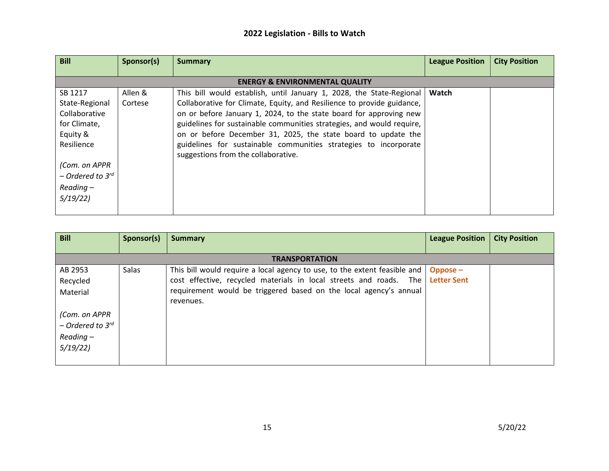| <b>Bill</b>                    | Sponsor(s) | <b>Summary</b>                                                         | <b>League Position</b> | <b>City Position</b> |
|--------------------------------|------------|------------------------------------------------------------------------|------------------------|----------------------|
|                                |            |                                                                        |                        |                      |
|                                |            | <b>ENERGY &amp; ENVIRONMENTAL QUALITY</b>                              |                        |                      |
| SB 1217                        | Allen &    | This bill would establish, until January 1, 2028, the State-Regional   | Watch                  |                      |
| State-Regional                 | Cortese    | Collaborative for Climate, Equity, and Resilience to provide guidance, |                        |                      |
| Collaborative                  |            | on or before January 1, 2024, to the state board for approving new     |                        |                      |
| for Climate,                   |            | guidelines for sustainable communities strategies, and would require,  |                        |                      |
| Equity &                       |            | on or before December 31, 2025, the state board to update the          |                        |                      |
| Resilience                     |            | guidelines for sustainable communities strategies to incorporate       |                        |                      |
|                                |            | suggestions from the collaborative.                                    |                        |                      |
| (Com. on APPR                  |            |                                                                        |                        |                      |
| $-$ Ordered to 3 <sup>rd</sup> |            |                                                                        |                        |                      |
| $Reading -$                    |            |                                                                        |                        |                      |
| 5/19/22                        |            |                                                                        |                        |                      |
|                                |            |                                                                        |                        |                      |

| <b>Bill</b>                                                               | Sponsor(s) | <b>Summary</b>                                                                                                                                                                                                                    | <b>League Position</b>        | <b>City Position</b> |
|---------------------------------------------------------------------------|------------|-----------------------------------------------------------------------------------------------------------------------------------------------------------------------------------------------------------------------------------|-------------------------------|----------------------|
|                                                                           |            | <b>TRANSPORTATION</b>                                                                                                                                                                                                             |                               |                      |
| AB 2953<br>Recycled<br>Material                                           | Salas      | This bill would require a local agency to use, to the extent feasible and<br>cost effective, recycled materials in local streets and roads. The<br>requirement would be triggered based on the local agency's annual<br>revenues. | Oppose-<br><b>Letter Sent</b> |                      |
| (Com. on APPR<br>$-$ Ordered to 3 <sup>rd</sup><br>$Reading -$<br>5/19/22 |            |                                                                                                                                                                                                                                   |                               |                      |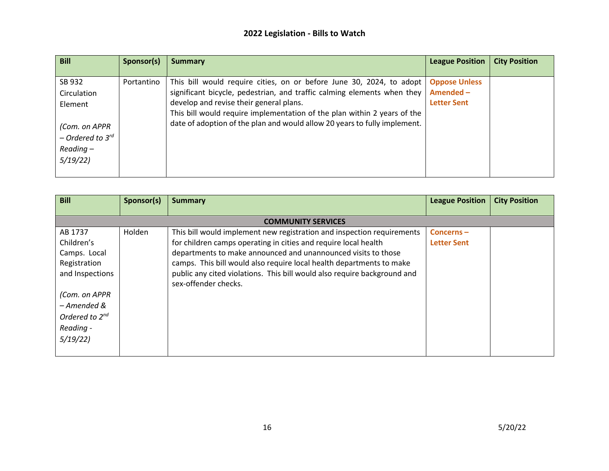| <b>Bill</b>                                                                                                   | Sponsor(s) | <b>Summary</b>                                                                                                                                                                                                                                                                                                                                      | <b>League Position</b>                                 | <b>City Position</b> |
|---------------------------------------------------------------------------------------------------------------|------------|-----------------------------------------------------------------------------------------------------------------------------------------------------------------------------------------------------------------------------------------------------------------------------------------------------------------------------------------------------|--------------------------------------------------------|----------------------|
| SB 932<br>Circulation<br>Element<br>(Com. on APPR<br>$-$ Ordered to 3 <sup>rd</sup><br>$Reading -$<br>5/19/22 | Portantino | This bill would require cities, on or before June 30, 2024, to adopt<br>significant bicycle, pedestrian, and traffic calming elements when they<br>develop and revise their general plans.<br>This bill would require implementation of the plan within 2 years of the<br>date of adoption of the plan and would allow 20 years to fully implement. | <b>Oppose Unless</b><br>Amended-<br><b>Letter Sent</b> |                      |

| <b>Bill</b>                                                                                                                                         | Sponsor(s) | <b>Summary</b>                                                                                                                                                                                                                                                                                                                                                                         | <b>League Position</b>             | <b>City Position</b> |
|-----------------------------------------------------------------------------------------------------------------------------------------------------|------------|----------------------------------------------------------------------------------------------------------------------------------------------------------------------------------------------------------------------------------------------------------------------------------------------------------------------------------------------------------------------------------------|------------------------------------|----------------------|
|                                                                                                                                                     |            | <b>COMMUNITY SERVICES</b>                                                                                                                                                                                                                                                                                                                                                              |                                    |                      |
| AB 1737<br>Children's<br>Camps. Local<br>Registration<br>and Inspections<br>(Com. on APPR<br>– Amended &<br>Ordered to 2 <sup>nd</sup><br>Reading - | Holden     | This bill would implement new registration and inspection requirements<br>for children camps operating in cities and require local health<br>departments to make announced and unannounced visits to those<br>camps. This bill would also require local health departments to make<br>public any cited violations. This bill would also require background and<br>sex-offender checks. | $Concerns -$<br><b>Letter Sent</b> |                      |
| 5/19/22                                                                                                                                             |            |                                                                                                                                                                                                                                                                                                                                                                                        |                                    |                      |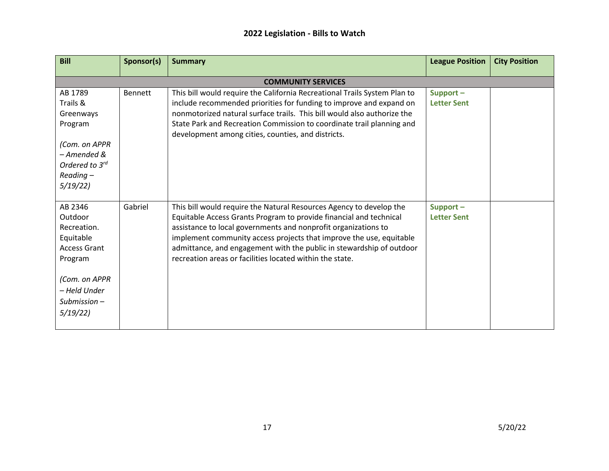| <b>Bill</b>                                                                                                                                    | Sponsor(s)                | <b>Summary</b>                                                                                                                                                                                                                                                                                                                                                                                                         | <b>League Position</b>         | <b>City Position</b> |  |  |  |  |
|------------------------------------------------------------------------------------------------------------------------------------------------|---------------------------|------------------------------------------------------------------------------------------------------------------------------------------------------------------------------------------------------------------------------------------------------------------------------------------------------------------------------------------------------------------------------------------------------------------------|--------------------------------|----------------------|--|--|--|--|
|                                                                                                                                                | <b>COMMUNITY SERVICES</b> |                                                                                                                                                                                                                                                                                                                                                                                                                        |                                |                      |  |  |  |  |
| AB 1789<br>Trails &<br>Greenways<br>Program<br>(Com. on APPR<br>- Amended &<br>Ordered to 3rd<br>$Reading -$<br>5/19/22                        | <b>Bennett</b>            | This bill would require the California Recreational Trails System Plan to<br>include recommended priorities for funding to improve and expand on<br>nonmotorized natural surface trails. This bill would also authorize the<br>State Park and Recreation Commission to coordinate trail planning and<br>development among cities, counties, and districts.                                                             | Support-<br><b>Letter Sent</b> |                      |  |  |  |  |
| AB 2346<br>Outdoor<br>Recreation.<br>Equitable<br><b>Access Grant</b><br>Program<br>(Com. on APPR<br>- Held Under<br>$Submission -$<br>5/19/22 | Gabriel                   | This bill would require the Natural Resources Agency to develop the<br>Equitable Access Grants Program to provide financial and technical<br>assistance to local governments and nonprofit organizations to<br>implement community access projects that improve the use, equitable<br>admittance, and engagement with the public in stewardship of outdoor<br>recreation areas or facilities located within the state. | Support-<br><b>Letter Sent</b> |                      |  |  |  |  |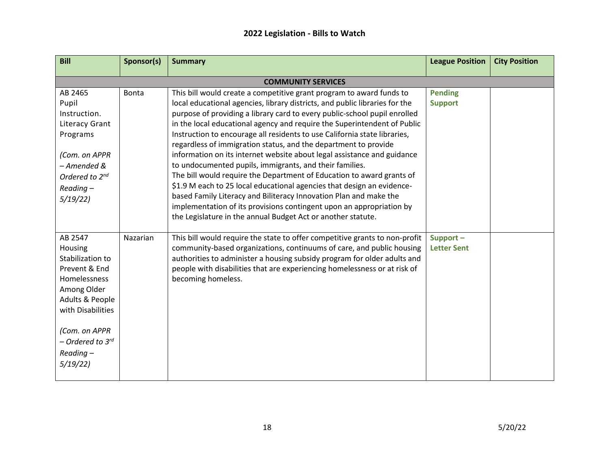| <b>Bill</b>                                                                                                                                                                                   | Sponsor(s)   | <b>Summary</b>                                                                                                                                                                                                                                                                                                                                                                                                                                                                                                                                                                                                                                                                                                                                                                                                                                                                                                                                                     | <b>League Position</b>           | <b>City Position</b> |  |  |  |
|-----------------------------------------------------------------------------------------------------------------------------------------------------------------------------------------------|--------------|--------------------------------------------------------------------------------------------------------------------------------------------------------------------------------------------------------------------------------------------------------------------------------------------------------------------------------------------------------------------------------------------------------------------------------------------------------------------------------------------------------------------------------------------------------------------------------------------------------------------------------------------------------------------------------------------------------------------------------------------------------------------------------------------------------------------------------------------------------------------------------------------------------------------------------------------------------------------|----------------------------------|----------------------|--|--|--|
| <b>COMMUNITY SERVICES</b>                                                                                                                                                                     |              |                                                                                                                                                                                                                                                                                                                                                                                                                                                                                                                                                                                                                                                                                                                                                                                                                                                                                                                                                                    |                                  |                      |  |  |  |
| AB 2465<br>Pupil<br>Instruction.<br>Literacy Grant<br>Programs<br>(Com. on APPR<br>- Amended &<br>Ordered to 2nd<br>Reading-<br>5/19/22                                                       | <b>Bonta</b> | This bill would create a competitive grant program to award funds to<br>local educational agencies, library districts, and public libraries for the<br>purpose of providing a library card to every public-school pupil enrolled<br>in the local educational agency and require the Superintendent of Public<br>Instruction to encourage all residents to use California state libraries,<br>regardless of immigration status, and the department to provide<br>information on its internet website about legal assistance and guidance<br>to undocumented pupils, immigrants, and their families.<br>The bill would require the Department of Education to award grants of<br>\$1.9 M each to 25 local educational agencies that design an evidence-<br>based Family Literacy and Biliteracy Innovation Plan and make the<br>implementation of its provisions contingent upon an appropriation by<br>the Legislature in the annual Budget Act or another statute. | <b>Pending</b><br><b>Support</b> |                      |  |  |  |
| AB 2547<br>Housing<br>Stabilization to<br>Prevent & End<br>Homelessness<br>Among Older<br>Adults & People<br>with Disabilities<br>(Com. on APPR<br>- Ordered to 3rd<br>$Reading -$<br>5/19/22 | Nazarian     | This bill would require the state to offer competitive grants to non-profit<br>community-based organizations, continuums of care, and public housing<br>authorities to administer a housing subsidy program for older adults and<br>people with disabilities that are experiencing homelessness or at risk of<br>becoming homeless.                                                                                                                                                                                                                                                                                                                                                                                                                                                                                                                                                                                                                                | Support-<br><b>Letter Sent</b>   |                      |  |  |  |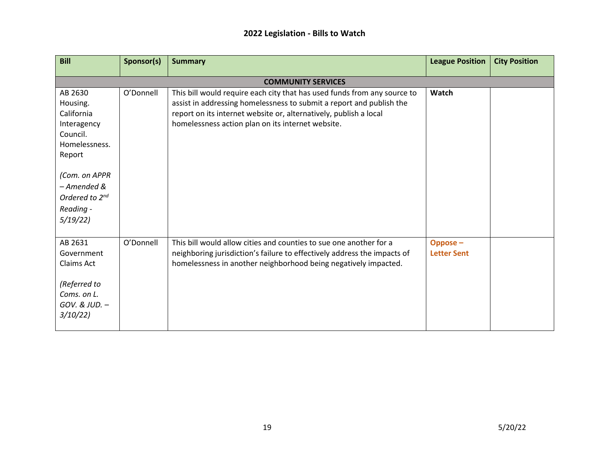| <b>Bill</b>                                                                                    | Sponsor(s)                | <b>Summary</b>                                                                                                                                                                                                                                                             | <b>League Position</b>        | <b>City Position</b> |  |  |  |  |
|------------------------------------------------------------------------------------------------|---------------------------|----------------------------------------------------------------------------------------------------------------------------------------------------------------------------------------------------------------------------------------------------------------------------|-------------------------------|----------------------|--|--|--|--|
|                                                                                                | <b>COMMUNITY SERVICES</b> |                                                                                                                                                                                                                                                                            |                               |                      |  |  |  |  |
| AB 2630<br>Housing.<br>California<br>Interagency<br>Council.<br>Homelessness.<br>Report        | O'Donnell                 | This bill would require each city that has used funds from any source to<br>assist in addressing homelessness to submit a report and publish the<br>report on its internet website or, alternatively, publish a local<br>homelessness action plan on its internet website. | Watch                         |                      |  |  |  |  |
| (Com. on APPR<br>- Amended &<br>Ordered to 2nd<br>Reading -<br>5/19/22                         |                           |                                                                                                                                                                                                                                                                            |                               |                      |  |  |  |  |
| AB 2631<br>Government<br>Claims Act<br>(Referred to<br>Coms. on L.<br>GOV. & JUD. -<br>3/10/22 | O'Donnell                 | This bill would allow cities and counties to sue one another for a<br>neighboring jurisdiction's failure to effectively address the impacts of<br>homelessness in another neighborhood being negatively impacted.                                                          | Oppose-<br><b>Letter Sent</b> |                      |  |  |  |  |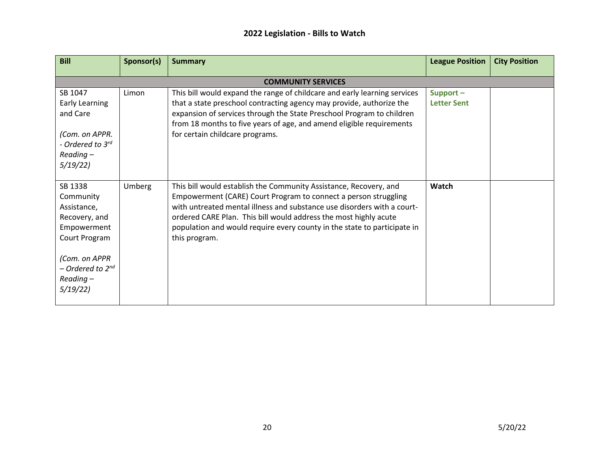| <b>Bill</b>                                                                                                                                                     | Sponsor(s)                | <b>Summary</b>                                                                                                                                                                                                                                                                                                                                                                   | <b>League Position</b>         | <b>City Position</b> |  |  |  |
|-----------------------------------------------------------------------------------------------------------------------------------------------------------------|---------------------------|----------------------------------------------------------------------------------------------------------------------------------------------------------------------------------------------------------------------------------------------------------------------------------------------------------------------------------------------------------------------------------|--------------------------------|----------------------|--|--|--|
|                                                                                                                                                                 | <b>COMMUNITY SERVICES</b> |                                                                                                                                                                                                                                                                                                                                                                                  |                                |                      |  |  |  |
| SB 1047<br><b>Early Learning</b><br>and Care<br>(Com. on APPR.<br>- Ordered to 3rd<br>$Reading -$<br>5/19/22                                                    | Limon                     | This bill would expand the range of childcare and early learning services<br>that a state preschool contracting agency may provide, authorize the<br>expansion of services through the State Preschool Program to children<br>from 18 months to five years of age, and amend eligible requirements<br>for certain childcare programs.                                            | Support-<br><b>Letter Sent</b> |                      |  |  |  |
| SB 1338<br>Community<br>Assistance,<br>Recovery, and<br>Empowerment<br>Court Program<br>(Com. on APPR<br>- Ordered to 2 <sup>nd</sup><br>$Reading -$<br>5/19/22 | Umberg                    | This bill would establish the Community Assistance, Recovery, and<br>Empowerment (CARE) Court Program to connect a person struggling<br>with untreated mental illness and substance use disorders with a court-<br>ordered CARE Plan. This bill would address the most highly acute<br>population and would require every county in the state to participate in<br>this program. | <b>Watch</b>                   |                      |  |  |  |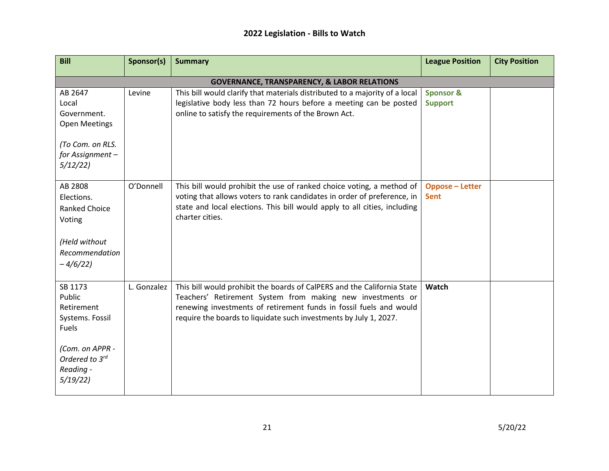| <b>Bill</b>                                                                                                              | Sponsor(s)  | <b>Summary</b>                                                                                                                                                                                                                                                                   | <b>League Position</b>                 | <b>City Position</b> |
|--------------------------------------------------------------------------------------------------------------------------|-------------|----------------------------------------------------------------------------------------------------------------------------------------------------------------------------------------------------------------------------------------------------------------------------------|----------------------------------------|----------------------|
|                                                                                                                          |             | <b>GOVERNANCE, TRANSPARENCY, &amp; LABOR RELATIONS</b>                                                                                                                                                                                                                           |                                        |                      |
| AB 2647<br>Local<br>Government.<br><b>Open Meetings</b><br>(To Com. on RLS.<br>for Assignment -<br>5/12/22               | Levine      | This bill would clarify that materials distributed to a majority of a local<br>legislative body less than 72 hours before a meeting can be posted<br>online to satisfy the requirements of the Brown Act.                                                                        | <b>Sponsor &amp;</b><br><b>Support</b> |                      |
| AB 2808<br>Elections.<br><b>Ranked Choice</b><br>Voting<br>(Held without<br>Recommendation<br>$-4/6/22$                  | O'Donnell   | This bill would prohibit the use of ranked choice voting, a method of<br>voting that allows voters to rank candidates in order of preference, in<br>state and local elections. This bill would apply to all cities, including<br>charter cities.                                 | <b>Oppose - Letter</b><br><b>Sent</b>  |                      |
| SB 1173<br>Public<br>Retirement<br>Systems. Fossil<br>Fuels<br>(Com. on APPR -<br>Ordered to 3rd<br>Reading -<br>5/19/22 | L. Gonzalez | This bill would prohibit the boards of CalPERS and the California State<br>Teachers' Retirement System from making new investments or<br>renewing investments of retirement funds in fossil fuels and would<br>require the boards to liquidate such investments by July 1, 2027. | Watch                                  |                      |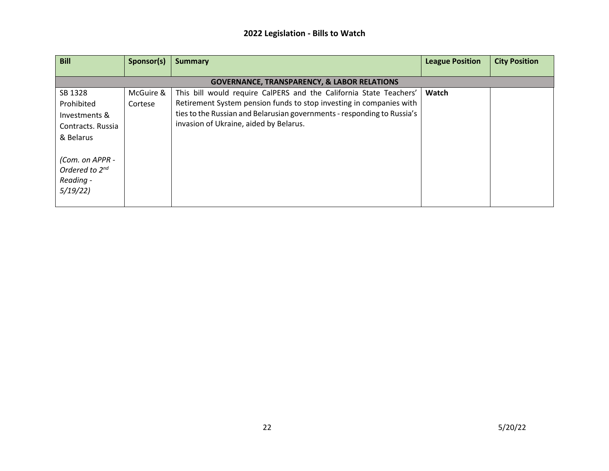| <b>Bill</b>                                                           | Sponsor(s) | <b>Summary</b>                                                          | <b>League Position</b> | <b>City Position</b> |
|-----------------------------------------------------------------------|------------|-------------------------------------------------------------------------|------------------------|----------------------|
|                                                                       |            |                                                                         |                        |                      |
|                                                                       |            | <b>GOVERNANCE, TRANSPARENCY, &amp; LABOR RELATIONS</b>                  |                        |                      |
| SB 1328                                                               | McGuire &  | This bill would require CalPERS and the California State Teachers'      | Watch                  |                      |
| Prohibited                                                            | Cortese    | Retirement System pension funds to stop investing in companies with     |                        |                      |
| Investments &                                                         |            | ties to the Russian and Belarusian governments - responding to Russia's |                        |                      |
| Contracts. Russia                                                     |            | invasion of Ukraine, aided by Belarus.                                  |                        |                      |
| & Belarus                                                             |            |                                                                         |                        |                      |
| (Com. on APPR -<br>Ordered to 2 <sup>nd</sup><br>Reading -<br>5/19/22 |            |                                                                         |                        |                      |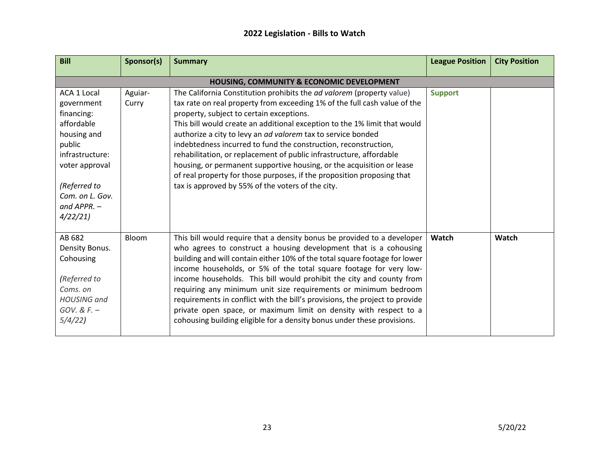| <b>Bill</b>                                                                                                                                                             | Sponsor(s)       | <b>Summary</b>                                                                                                                                                                                                                                                                                                                                                                                                                                                                                                                                                                                                                                                                                | <b>League Position</b> | <b>City Position</b> |  |  |  |
|-------------------------------------------------------------------------------------------------------------------------------------------------------------------------|------------------|-----------------------------------------------------------------------------------------------------------------------------------------------------------------------------------------------------------------------------------------------------------------------------------------------------------------------------------------------------------------------------------------------------------------------------------------------------------------------------------------------------------------------------------------------------------------------------------------------------------------------------------------------------------------------------------------------|------------------------|----------------------|--|--|--|
| <b>HOUSING, COMMUNITY &amp; ECONOMIC DEVELOPMENT</b>                                                                                                                    |                  |                                                                                                                                                                                                                                                                                                                                                                                                                                                                                                                                                                                                                                                                                               |                        |                      |  |  |  |
| ACA 1 Local<br>government<br>financing:<br>affordable<br>housing and<br>public<br>infrastructure:<br>voter approval<br>(Referred to<br>Com. on L. Gov.<br>and $APPR.$ - | Aguiar-<br>Curry | The California Constitution prohibits the ad valorem (property value)<br>tax rate on real property from exceeding 1% of the full cash value of the<br>property, subject to certain exceptions.<br>This bill would create an additional exception to the 1% limit that would<br>authorize a city to levy an ad valorem tax to service bonded<br>indebtedness incurred to fund the construction, reconstruction,<br>rehabilitation, or replacement of public infrastructure, affordable<br>housing, or permanent supportive housing, or the acquisition or lease<br>of real property for those purposes, if the proposition proposing that<br>tax is approved by 55% of the voters of the city. | <b>Support</b>         |                      |  |  |  |
| 4/22/21<br>AB 682<br>Density Bonus.<br>Cohousing<br>(Referred to<br>Coms. on<br><b>HOUSING and</b><br>GOV. & $F.$ -<br>5/4/22                                           | Bloom            | This bill would require that a density bonus be provided to a developer<br>who agrees to construct a housing development that is a cohousing<br>building and will contain either 10% of the total square footage for lower<br>income households, or 5% of the total square footage for very low-<br>income households. This bill would prohibit the city and county from<br>requiring any minimum unit size requirements or minimum bedroom<br>requirements in conflict with the bill's provisions, the project to provide<br>private open space, or maximum limit on density with respect to a<br>cohousing building eligible for a density bonus under these provisions.                    | Watch                  | Watch                |  |  |  |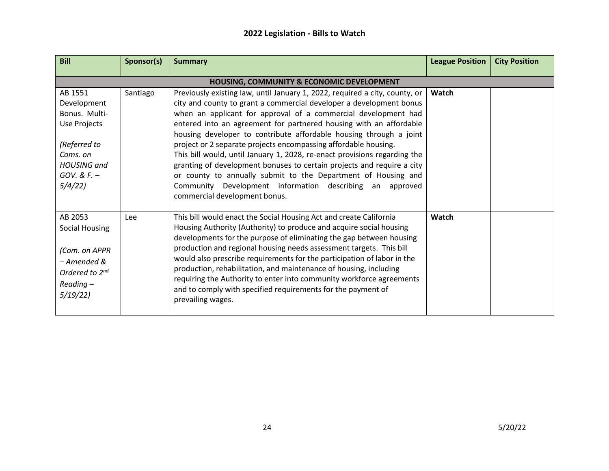| <b>Bill</b>                | Sponsor(s) | <b>Summary</b>                                                              | <b>League Position</b> | <b>City Position</b> |
|----------------------------|------------|-----------------------------------------------------------------------------|------------------------|----------------------|
|                            |            | HOUSING, COMMUNITY & ECONOMIC DEVELOPMENT                                   |                        |                      |
|                            |            |                                                                             |                        |                      |
| AB 1551                    | Santiago   | Previously existing law, until January 1, 2022, required a city, county, or | Watch                  |                      |
| Development                |            | city and county to grant a commercial developer a development bonus         |                        |                      |
| Bonus. Multi-              |            | when an applicant for approval of a commercial development had              |                        |                      |
| Use Projects               |            | entered into an agreement for partnered housing with an affordable          |                        |                      |
|                            |            | housing developer to contribute affordable housing through a joint          |                        |                      |
| (Referred to               |            | project or 2 separate projects encompassing affordable housing.             |                        |                      |
| Coms. on                   |            | This bill would, until January 1, 2028, re-enact provisions regarding the   |                        |                      |
| <b>HOUSING and</b>         |            | granting of development bonuses to certain projects and require a city      |                        |                      |
| $GOV. & F. -$              |            | or county to annually submit to the Department of Housing and               |                        |                      |
| 5/4/22                     |            | Community Development information describing an approved                    |                        |                      |
|                            |            | commercial development bonus.                                               |                        |                      |
|                            |            |                                                                             |                        |                      |
| AB 2053                    | Lee        | This bill would enact the Social Housing Act and create California          | Watch                  |                      |
| Social Housing             |            | Housing Authority (Authority) to produce and acquire social housing         |                        |                      |
|                            |            | developments for the purpose of eliminating the gap between housing         |                        |                      |
|                            |            | production and regional housing needs assessment targets. This bill         |                        |                      |
| (Com. on APPR              |            | would also prescribe requirements for the participation of labor in the     |                        |                      |
| – Amended &                |            | production, rehabilitation, and maintenance of housing, including           |                        |                      |
| Ordered to 2 <sup>nd</sup> |            | requiring the Authority to enter into community workforce agreements        |                        |                      |
| $Reading -$                |            |                                                                             |                        |                      |
| 5/19/22                    |            | and to comply with specified requirements for the payment of                |                        |                      |
|                            |            | prevailing wages.                                                           |                        |                      |
|                            |            |                                                                             |                        |                      |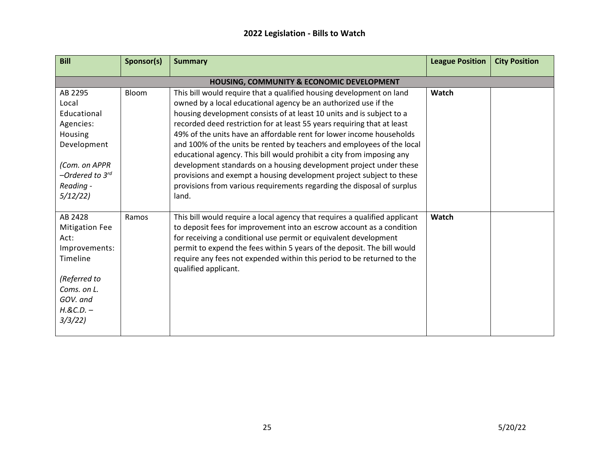| <b>Bill</b>                                          | Sponsor(s) | <b>Summary</b>                                                                                 | <b>League Position</b> | <b>City Position</b> |  |  |  |
|------------------------------------------------------|------------|------------------------------------------------------------------------------------------------|------------------------|----------------------|--|--|--|
| <b>HOUSING, COMMUNITY &amp; ECONOMIC DEVELOPMENT</b> |            |                                                                                                |                        |                      |  |  |  |
| AB 2295                                              | Bloom      | This bill would require that a qualified housing development on land                           | Watch                  |                      |  |  |  |
| Local                                                |            | owned by a local educational agency be an authorized use if the                                |                        |                      |  |  |  |
| Educational                                          |            | housing development consists of at least 10 units and is subject to a                          |                        |                      |  |  |  |
| Agencies:                                            |            | recorded deed restriction for at least 55 years requiring that at least                        |                        |                      |  |  |  |
| Housing                                              |            | 49% of the units have an affordable rent for lower income households                           |                        |                      |  |  |  |
| Development                                          |            | and 100% of the units be rented by teachers and employees of the local                         |                        |                      |  |  |  |
|                                                      |            | educational agency. This bill would prohibit a city from imposing any                          |                        |                      |  |  |  |
| (Com. on APPR                                        |            | development standards on a housing development project under these                             |                        |                      |  |  |  |
| -Ordered to 3 <sup>rd</sup>                          |            | provisions and exempt a housing development project subject to these                           |                        |                      |  |  |  |
| Reading -                                            |            | provisions from various requirements regarding the disposal of surplus                         |                        |                      |  |  |  |
| 5/12/22                                              |            | land.                                                                                          |                        |                      |  |  |  |
|                                                      |            |                                                                                                |                        |                      |  |  |  |
| AB 2428                                              | Ramos      | This bill would require a local agency that requires a qualified applicant                     | Watch                  |                      |  |  |  |
| <b>Mitigation Fee</b>                                |            | to deposit fees for improvement into an escrow account as a condition                          |                        |                      |  |  |  |
| Act:                                                 |            | for receiving a conditional use permit or equivalent development                               |                        |                      |  |  |  |
| Improvements:<br>Timeline                            |            | permit to expend the fees within 5 years of the deposit. The bill would                        |                        |                      |  |  |  |
|                                                      |            | require any fees not expended within this period to be returned to the<br>qualified applicant. |                        |                      |  |  |  |
| (Referred to                                         |            |                                                                                                |                        |                      |  |  |  |
| Coms. on L.                                          |            |                                                                                                |                        |                      |  |  |  |
| GOV. and                                             |            |                                                                                                |                        |                      |  |  |  |
| $H. & C.D. -$                                        |            |                                                                                                |                        |                      |  |  |  |
| 3/3/22                                               |            |                                                                                                |                        |                      |  |  |  |
|                                                      |            |                                                                                                |                        |                      |  |  |  |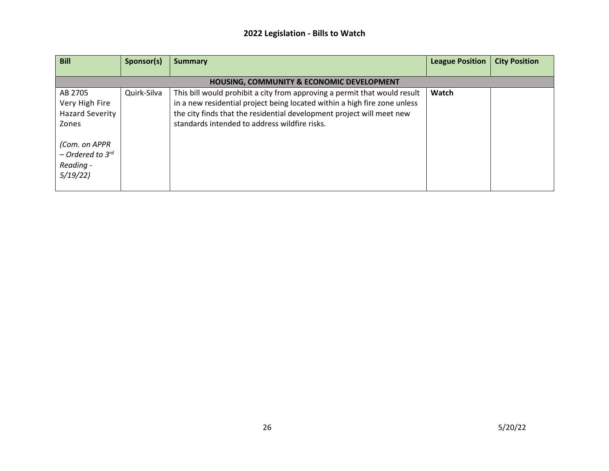| <b>Bill</b>                                                             | Sponsor(s)  | <b>Summary</b>                                                                                                                                                                                                                                                                   | <b>League Position</b> | <b>City Position</b> |
|-------------------------------------------------------------------------|-------------|----------------------------------------------------------------------------------------------------------------------------------------------------------------------------------------------------------------------------------------------------------------------------------|------------------------|----------------------|
|                                                                         |             | <b>HOUSING, COMMUNITY &amp; ECONOMIC DEVELOPMENT</b>                                                                                                                                                                                                                             |                        |                      |
| AB 2705<br>Very High Fire<br><b>Hazard Severity</b><br>Zones            | Quirk-Silva | This bill would prohibit a city from approving a permit that would result<br>in a new residential project being located within a high fire zone unless<br>the city finds that the residential development project will meet new<br>standards intended to address wildfire risks. | Watch                  |                      |
| (Com. on APPR<br>$-$ Ordered to 3 <sup>rd</sup><br>Reading -<br>5/19/22 |             |                                                                                                                                                                                                                                                                                  |                        |                      |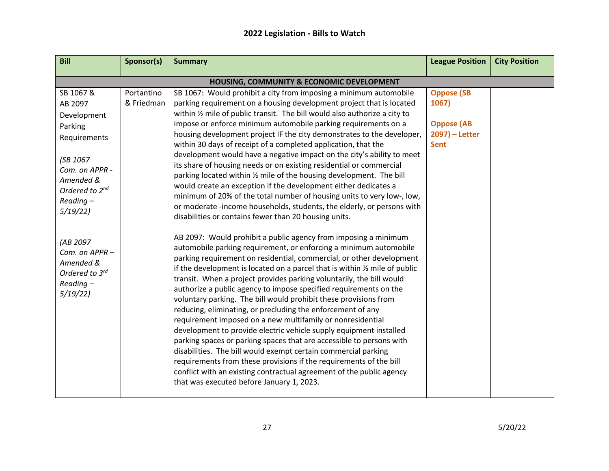| <b>Bill</b>                                                                                                                                                       | Sponsor(s)               | <b>Summary</b>                                                                                                                                                                                                                                                                                                                                                                                                                                                                                                                                                                                                                                                                                                                                                                                                                                                                                                                                                                                                                                                                                                          | <b>League Position</b>                                                              | <b>City Position</b> |  |  |  |  |
|-------------------------------------------------------------------------------------------------------------------------------------------------------------------|--------------------------|-------------------------------------------------------------------------------------------------------------------------------------------------------------------------------------------------------------------------------------------------------------------------------------------------------------------------------------------------------------------------------------------------------------------------------------------------------------------------------------------------------------------------------------------------------------------------------------------------------------------------------------------------------------------------------------------------------------------------------------------------------------------------------------------------------------------------------------------------------------------------------------------------------------------------------------------------------------------------------------------------------------------------------------------------------------------------------------------------------------------------|-------------------------------------------------------------------------------------|----------------------|--|--|--|--|
| HOUSING, COMMUNITY & ECONOMIC DEVELOPMENT                                                                                                                         |                          |                                                                                                                                                                                                                                                                                                                                                                                                                                                                                                                                                                                                                                                                                                                                                                                                                                                                                                                                                                                                                                                                                                                         |                                                                                     |                      |  |  |  |  |
| SB 1067 &<br>AB 2097<br>Development<br>Parking<br>Requirements<br>(SB 1067<br>Com. on APPR -<br>Amended &<br>Ordered to 2 <sup>nd</sup><br>$Reading -$<br>5/19/22 | Portantino<br>& Friedman | SB 1067: Would prohibit a city from imposing a minimum automobile<br>parking requirement on a housing development project that is located<br>within $\frac{1}{2}$ mile of public transit. The bill would also authorize a city to<br>impose or enforce minimum automobile parking requirements on a<br>housing development project IF the city demonstrates to the developer,<br>within 30 days of receipt of a completed application, that the<br>development would have a negative impact on the city's ability to meet<br>its share of housing needs or on existing residential or commercial<br>parking located within 1/2 mile of the housing development. The bill<br>would create an exception if the development either dedicates a<br>minimum of 20% of the total number of housing units to very low-, low,<br>or moderate -income households, students, the elderly, or persons with                                                                                                                                                                                                                         | <b>Oppose (SB</b><br>1067)<br><b>Oppose (AB</b><br>$2097$ ) – Letter<br><b>Sent</b> |                      |  |  |  |  |
| (AB 2097<br>Com. on APPR-<br>Amended &<br>Ordered to 3rd<br>$Reading -$<br>5/19/22                                                                                |                          | disabilities or contains fewer than 20 housing units.<br>AB 2097: Would prohibit a public agency from imposing a minimum<br>automobile parking requirement, or enforcing a minimum automobile<br>parking requirement on residential, commercial, or other development<br>if the development is located on a parcel that is within $\frac{1}{2}$ mile of public<br>transit. When a project provides parking voluntarily, the bill would<br>authorize a public agency to impose specified requirements on the<br>voluntary parking. The bill would prohibit these provisions from<br>reducing, eliminating, or precluding the enforcement of any<br>requirement imposed on a new multifamily or nonresidential<br>development to provide electric vehicle supply equipment installed<br>parking spaces or parking spaces that are accessible to persons with<br>disabilities. The bill would exempt certain commercial parking<br>requirements from these provisions if the requirements of the bill<br>conflict with an existing contractual agreement of the public agency<br>that was executed before January 1, 2023. |                                                                                     |                      |  |  |  |  |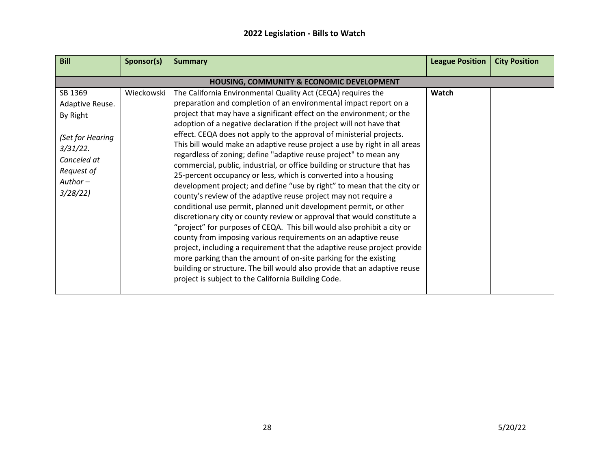| <b>Bill</b>                                                                                                                    | Sponsor(s) | <b>Summary</b>                                                                                                                                                                                                                                                                                                                                                                                                                                                                                                                                                                                                                                                                                                                                                                                                                                                                                                                                                                                                                                                                                                                                                                                                                                                                                                                                                                              | <b>League Position</b> | <b>City Position</b> |  |  |  |
|--------------------------------------------------------------------------------------------------------------------------------|------------|---------------------------------------------------------------------------------------------------------------------------------------------------------------------------------------------------------------------------------------------------------------------------------------------------------------------------------------------------------------------------------------------------------------------------------------------------------------------------------------------------------------------------------------------------------------------------------------------------------------------------------------------------------------------------------------------------------------------------------------------------------------------------------------------------------------------------------------------------------------------------------------------------------------------------------------------------------------------------------------------------------------------------------------------------------------------------------------------------------------------------------------------------------------------------------------------------------------------------------------------------------------------------------------------------------------------------------------------------------------------------------------------|------------------------|----------------------|--|--|--|
|                                                                                                                                |            | <b>HOUSING, COMMUNITY &amp; ECONOMIC DEVELOPMENT</b>                                                                                                                                                                                                                                                                                                                                                                                                                                                                                                                                                                                                                                                                                                                                                                                                                                                                                                                                                                                                                                                                                                                                                                                                                                                                                                                                        |                        |                      |  |  |  |
|                                                                                                                                |            |                                                                                                                                                                                                                                                                                                                                                                                                                                                                                                                                                                                                                                                                                                                                                                                                                                                                                                                                                                                                                                                                                                                                                                                                                                                                                                                                                                                             |                        |                      |  |  |  |
| SB 1369<br>Adaptive Reuse.<br>By Right<br>(Set for Hearing<br>$3/31/22$ .<br>Canceled at<br>Request of<br>$Author-$<br>3/28/22 | Wieckowski | The California Environmental Quality Act (CEQA) requires the<br>preparation and completion of an environmental impact report on a<br>project that may have a significant effect on the environment; or the<br>adoption of a negative declaration if the project will not have that<br>effect. CEQA does not apply to the approval of ministerial projects.<br>This bill would make an adaptive reuse project a use by right in all areas<br>regardless of zoning; define "adaptive reuse project" to mean any<br>commercial, public, industrial, or office building or structure that has<br>25-percent occupancy or less, which is converted into a housing<br>development project; and define "use by right" to mean that the city or<br>county's review of the adaptive reuse project may not require a<br>conditional use permit, planned unit development permit, or other<br>discretionary city or county review or approval that would constitute a<br>"project" for purposes of CEQA. This bill would also prohibit a city or<br>county from imposing various requirements on an adaptive reuse<br>project, including a requirement that the adaptive reuse project provide<br>more parking than the amount of on-site parking for the existing<br>building or structure. The bill would also provide that an adaptive reuse<br>project is subject to the California Building Code. | Watch                  |                      |  |  |  |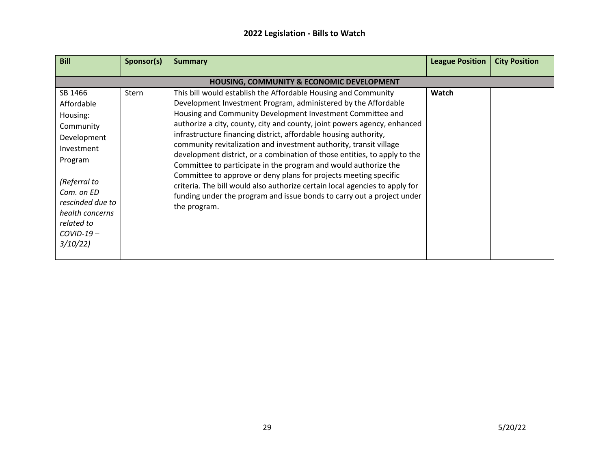| <b>Bill</b>                                                                                                                                                                                         | Sponsor(s) | <b>Summary</b>                                                                                                                                                                                                                                                                                                                                                                                                                                                                                                                                                                                                                                                                                                                                                                                                    | <b>League Position</b> | <b>City Position</b> |
|-----------------------------------------------------------------------------------------------------------------------------------------------------------------------------------------------------|------------|-------------------------------------------------------------------------------------------------------------------------------------------------------------------------------------------------------------------------------------------------------------------------------------------------------------------------------------------------------------------------------------------------------------------------------------------------------------------------------------------------------------------------------------------------------------------------------------------------------------------------------------------------------------------------------------------------------------------------------------------------------------------------------------------------------------------|------------------------|----------------------|
|                                                                                                                                                                                                     |            | <b>HOUSING, COMMUNITY &amp; ECONOMIC DEVELOPMENT</b>                                                                                                                                                                                                                                                                                                                                                                                                                                                                                                                                                                                                                                                                                                                                                              |                        |                      |
| SB 1466<br>Affordable<br>Housing:<br>Community<br>Development<br>Investment<br>Program<br>(Referral to<br>Com. on ED<br>rescinded due to<br>health concerns<br>related to<br>$COVID-19-$<br>3/10/22 | Stern      | This bill would establish the Affordable Housing and Community<br>Development Investment Program, administered by the Affordable<br>Housing and Community Development Investment Committee and<br>authorize a city, county, city and county, joint powers agency, enhanced<br>infrastructure financing district, affordable housing authority,<br>community revitalization and investment authority, transit village<br>development district, or a combination of those entities, to apply to the<br>Committee to participate in the program and would authorize the<br>Committee to approve or deny plans for projects meeting specific<br>criteria. The bill would also authorize certain local agencies to apply for<br>funding under the program and issue bonds to carry out a project under<br>the program. | Watch                  |                      |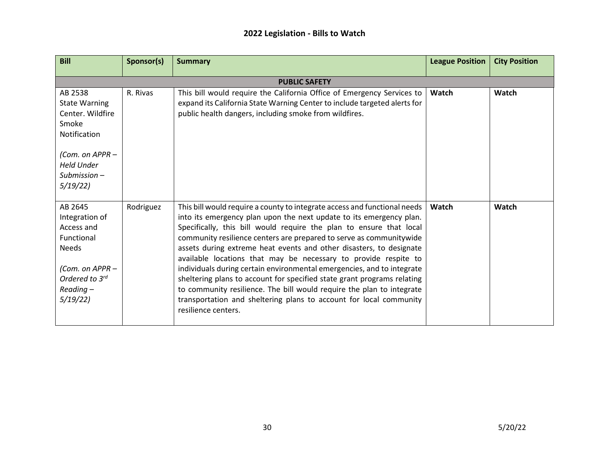| <b>Bill</b>                                                                                                                                       | Sponsor(s)           | <b>Summary</b>                                                                                                                                                                                                                                                                                                                                                                                                                                                                                                                                                                                                                                                                                                                                                      | <b>League Position</b> | <b>City Position</b> |  |  |  |  |
|---------------------------------------------------------------------------------------------------------------------------------------------------|----------------------|---------------------------------------------------------------------------------------------------------------------------------------------------------------------------------------------------------------------------------------------------------------------------------------------------------------------------------------------------------------------------------------------------------------------------------------------------------------------------------------------------------------------------------------------------------------------------------------------------------------------------------------------------------------------------------------------------------------------------------------------------------------------|------------------------|----------------------|--|--|--|--|
|                                                                                                                                                   | <b>PUBLIC SAFETY</b> |                                                                                                                                                                                                                                                                                                                                                                                                                                                                                                                                                                                                                                                                                                                                                                     |                        |                      |  |  |  |  |
| AB 2538<br><b>State Warning</b><br>Center. Wildfire<br>Smoke<br>Notification<br>(Com. on APPR –<br><b>Held Under</b><br>$Submission -$<br>5/19/22 | R. Rivas             | This bill would require the California Office of Emergency Services to<br>expand its California State Warning Center to include targeted alerts for<br>public health dangers, including smoke from wildfires.                                                                                                                                                                                                                                                                                                                                                                                                                                                                                                                                                       | Watch                  | Watch                |  |  |  |  |
| AB 2645<br>Integration of<br>Access and<br>Functional<br><b>Needs</b><br>(Com. on APPR -<br>Ordered to 3rd<br>$Reading -$<br>5/19/22              | Rodriguez            | This bill would require a county to integrate access and functional needs<br>into its emergency plan upon the next update to its emergency plan.<br>Specifically, this bill would require the plan to ensure that local<br>community resilience centers are prepared to serve as communitywide<br>assets during extreme heat events and other disasters, to designate<br>available locations that may be necessary to provide respite to<br>individuals during certain environmental emergencies, and to integrate<br>sheltering plans to account for specified state grant programs relating<br>to community resilience. The bill would require the plan to integrate<br>transportation and sheltering plans to account for local community<br>resilience centers. | Watch                  | Watch                |  |  |  |  |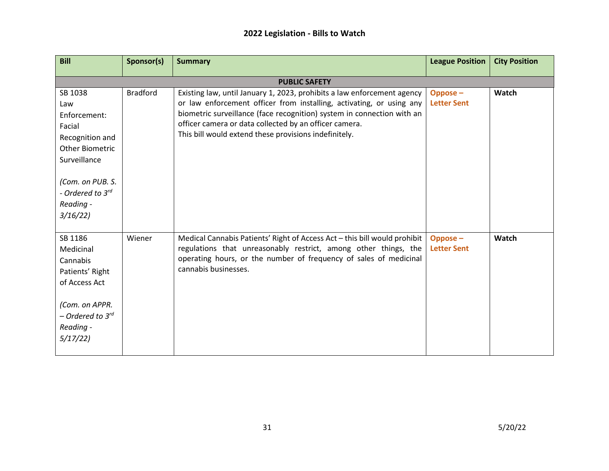| <b>Bill</b>                                                                                                                            | Sponsor(s)      | <b>Summary</b>                                                                                                                                                                                                                                                                                                                               | <b>League Position</b>        | <b>City Position</b> |  |  |  |
|----------------------------------------------------------------------------------------------------------------------------------------|-----------------|----------------------------------------------------------------------------------------------------------------------------------------------------------------------------------------------------------------------------------------------------------------------------------------------------------------------------------------------|-------------------------------|----------------------|--|--|--|
| <b>PUBLIC SAFETY</b>                                                                                                                   |                 |                                                                                                                                                                                                                                                                                                                                              |                               |                      |  |  |  |
| SB 1038<br>Law<br>Enforcement:<br>Facial<br>Recognition and<br><b>Other Biometric</b><br>Surveillance                                  | <b>Bradford</b> | Existing law, until January 1, 2023, prohibits a law enforcement agency<br>or law enforcement officer from installing, activating, or using any<br>biometric surveillance (face recognition) system in connection with an<br>officer camera or data collected by an officer camera.<br>This bill would extend these provisions indefinitely. | Oppose-<br><b>Letter Sent</b> | Watch                |  |  |  |
| (Com. on PUB. S.<br>- Ordered to 3rd<br>Reading -<br>3/16/22                                                                           |                 |                                                                                                                                                                                                                                                                                                                                              |                               |                      |  |  |  |
| SB 1186<br>Medicinal<br>Cannabis<br>Patients' Right<br>of Access Act<br>(Com. on APPR.<br>$-$ Ordered to $3rd$<br>Reading -<br>5/17/22 | Wiener          | Medical Cannabis Patients' Right of Access Act - this bill would prohibit<br>regulations that unreasonably restrict, among other things, the<br>operating hours, or the number of frequency of sales of medicinal<br>cannabis businesses.                                                                                                    | Oppose-<br><b>Letter Sent</b> | Watch                |  |  |  |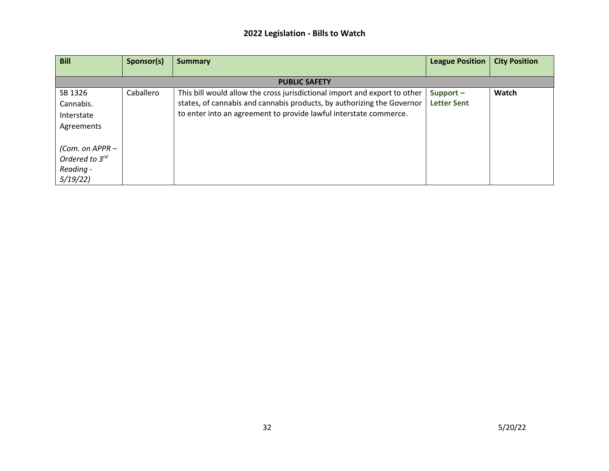| <b>Bill</b>       | Sponsor(s) | Summary                                                                   | <b>League Position</b> | <b>City Position</b> |
|-------------------|------------|---------------------------------------------------------------------------|------------------------|----------------------|
|                   |            |                                                                           |                        |                      |
|                   |            | <b>PUBLIC SAFETY</b>                                                      |                        |                      |
| SB 1326           | Caballero  | This bill would allow the cross jurisdictional import and export to other | Support-               | Watch                |
| Cannabis.         |            | states, of cannabis and cannabis products, by authorizing the Governor    | <b>Letter Sent</b>     |                      |
| Interstate        |            | to enter into an agreement to provide lawful interstate commerce.         |                        |                      |
| Agreements        |            |                                                                           |                        |                      |
|                   |            |                                                                           |                        |                      |
| (Com. on $APPR -$ |            |                                                                           |                        |                      |
| Ordered to 3rd    |            |                                                                           |                        |                      |
| Reading -         |            |                                                                           |                        |                      |
| 5/19/22           |            |                                                                           |                        |                      |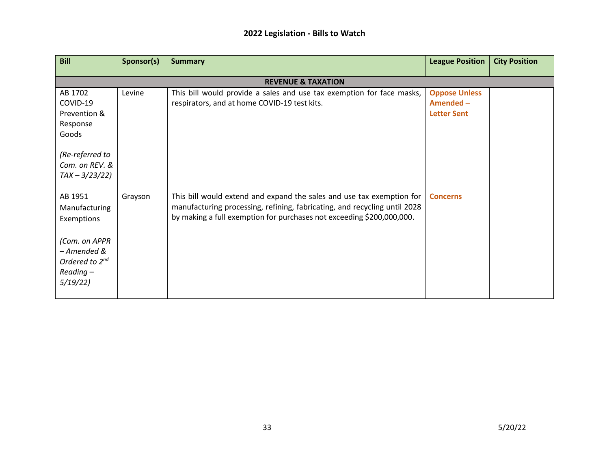| <b>Bill</b>                                                                                                                    | Sponsor(s) | <b>Summary</b>                                                                                                                                                                                                              | <b>League Position</b>                                 | <b>City Position</b> |  |  |  |
|--------------------------------------------------------------------------------------------------------------------------------|------------|-----------------------------------------------------------------------------------------------------------------------------------------------------------------------------------------------------------------------------|--------------------------------------------------------|----------------------|--|--|--|
| <b>REVENUE &amp; TAXATION</b>                                                                                                  |            |                                                                                                                                                                                                                             |                                                        |                      |  |  |  |
| AB 1702<br>COVID-19<br>Prevention &<br>Response<br>Goods<br>(Re-referred to<br>Com. on REV. &<br>$TAX - 3/23/22$               | Levine     | This bill would provide a sales and use tax exemption for face masks,<br>respirators, and at home COVID-19 test kits.                                                                                                       | <b>Oppose Unless</b><br>Amended-<br><b>Letter Sent</b> |                      |  |  |  |
| AB 1951<br>Manufacturing<br>Exemptions<br>(Com. on APPR<br>- Amended &<br>Ordered to 2 <sup>nd</sup><br>$Reading -$<br>5/19/22 | Grayson    | This bill would extend and expand the sales and use tax exemption for<br>manufacturing processing, refining, fabricating, and recycling until 2028<br>by making a full exemption for purchases not exceeding \$200,000,000. | <b>Concerns</b>                                        |                      |  |  |  |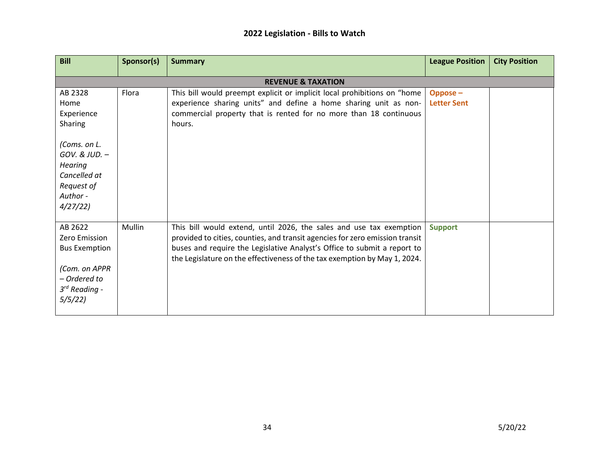| <b>Bill</b>                                                                                                       | Sponsor(s)                    | <b>Summary</b>                                                                                                                                                                                                                                                                                               | <b>League Position</b>        | <b>City Position</b> |  |  |  |  |
|-------------------------------------------------------------------------------------------------------------------|-------------------------------|--------------------------------------------------------------------------------------------------------------------------------------------------------------------------------------------------------------------------------------------------------------------------------------------------------------|-------------------------------|----------------------|--|--|--|--|
|                                                                                                                   | <b>REVENUE &amp; TAXATION</b> |                                                                                                                                                                                                                                                                                                              |                               |                      |  |  |  |  |
| AB 2328<br>Home<br>Experience<br>Sharing                                                                          | Flora                         | This bill would preempt explicit or implicit local prohibitions on "home<br>experience sharing units" and define a home sharing unit as non-<br>commercial property that is rented for no more than 18 continuous<br>hours.                                                                                  | Oppose-<br><b>Letter Sent</b> |                      |  |  |  |  |
| (Coms. on L.<br>GOV. & JUD. -<br>Hearing<br>Cancelled at<br>Request of<br>Author -<br>4/27/22                     |                               |                                                                                                                                                                                                                                                                                                              |                               |                      |  |  |  |  |
| AB 2622<br>Zero Emission<br><b>Bus Exemption</b><br>(Com. on APPR<br>- Ordered to<br>$3^{rd}$ Reading -<br>5/5/22 | Mullin                        | This bill would extend, until 2026, the sales and use tax exemption<br>provided to cities, counties, and transit agencies for zero emission transit<br>buses and require the Legislative Analyst's Office to submit a report to<br>the Legislature on the effectiveness of the tax exemption by May 1, 2024. | <b>Support</b>                |                      |  |  |  |  |